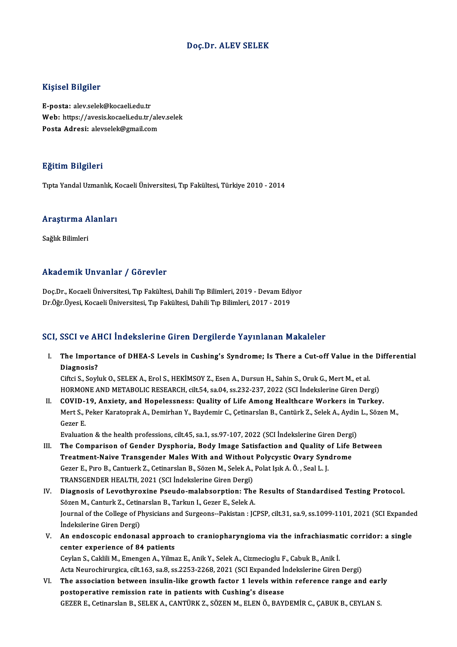### Doç.Dr. ALEV SELEK

### Kişisel Bilgiler

E-posta: alev.selek@kocaeli.edu.tr 11131051 D1151101<br>E-posta: alev.selek@kocaeli.edu.tr<br>Web: https://avesis.kocaeli.edu.tr/alev.selek<br>Posta Adrosi: alevrelek@amail.com E-posta: alev.selek@kocaeli.edu.tr<br>Web: https://avesis.kocaeli.edu.tr/ale<br>Posta Adresi: alevselek@gmail.com Posta Adresi: alevselek@gmail.com<br>Eğitim Bilgileri

TıptaYandalUzmanlık,KocaeliÜniversitesi,Tıp Fakültesi,Türkiye 2010 -2014

## rıpla randal ozmanlık, K<br>Araştırma Alanları <mark>Araştırma A</mark><br>Sağlık Bilimleri

# Akademik Unvanlar / Görevler

Akademik Unvanlar / Görevler<br>Doç.Dr., Kocaeli Üniversitesi, Tıp Fakültesi, Dahili Tıp Bilimleri, 2019 - Devam Ediyor<br>Dr.Öžr Üvesi, Kasaeli Üniversitesi, Tıp Fakültesi, Dahili Tıp Bilimleri, 2017 - 2019 rrkuu cirik Onvuniur 7 uorevici<br>Doç.Dr., Kocaeli Üniversitesi, Tıp Fakültesi, Dahili Tıp Bilimleri, 2019 - Devam Edi:<br>Dr.Öğr.Üyesi, Kocaeli Üniversitesi, Tıp Fakültesi, Dahili Tıp Bilimleri, 2017 - 2019

# Dr.Öğr.Üyesi, Kocaeli Üniversitesi, Tıp Fakültesi, Dahili Tıp Bilimleri, 2017 - 2019<br>SCI, SSCI ve AHCI İndekslerine Giren Dergilerde Yayınlanan Makaleler

I. The Importance of DHEA-S Levels in Cushing's Syndrome; Is There a Cut-off Value in the Differential The Import<br>The Import<br>Diagnosis? The Importance of DHEA-S Levels in Cushing's Syndrome; Is There a Cut-off Value in the<br>Diagnosis?<br>Ciftci S., Soyluk O., SELEK A., Erol S., HEKİMSOY Z., Esen A., Dursun H., Sahin S., Oruk G., Mert M., et al.<br>HOPMONE AND MET

Diagnosis?<br>Ciftci S., Soyluk O., SELEK A., Erol S., HEKİMSOY Z., Esen A., Dursun H., Sahin S., Oruk G., Mert M., et al.<br>HORMONE AND METABOLIC RESEARCH, cilt.54, sa.04, ss.232-237, 2022 (SCI İndekslerine Giren Dergi)<br>COVID Ciftci S., Soyluk O., SELEK A., Erol S., HEKİMSOY Z., Esen A., Dursun H., Sahin S., Oruk G., Mert M., et al.<br>HORMONE AND METABOLIC RESEARCH, cilt.54, sa.04, ss.232-237, 2022 (SCI İndekslerine Giren Dergi)<br>II. COVID-19, Anx

HORMONE AND METABOLIC RESEARCH, cilt.54, sa.04, ss.232-237, 2022 (SCI İndekslerine Giren Dergi)<br>COVID-19, Anxiety, and Hopelessness: Quality of Life Among Healthcare Workers in Turkey.<br>Mert S., Peker Karatoprak A., Demirha II. COVID-19, Anxiety, and Hopelessness: Quality of Life Among Healthcare Workers in Turkey.<br>Mert S., Peker Karatoprak A., Demirhan Y., Baydemir C., Çetinarslan B., Cantürk Z., Selek A., Aydin L., Sözen<br>Gezer E.<br>Evaluation Mert S., Peker Karatoprak A., Demirhan Y., Baydemir C., Çetinarslan B., Cantürk Z., Selek A., Aydin L., Sözen M.,

- III. The Comparison of Gender Dysphoria, Body Image Satisfaction and Quality of Life Between Evaluation & the health professions, cilt.45, sa.1, ss.97-107, 2022 (SCI Indekslerine Giren Dergi<br>The Comparison of Gender Dysphoria, Body Image Satisfaction and Quality of Life in<br>Treatment-Naive Transgender Males With an The Comparison of Gender Dysphoria, Body Image Satisfaction and Quality of<br>Treatment-Naive Transgender Males With and Without Polycystic Ovary Syn<br>Gezer E., Pıro B., Cantuerk Z., Cetinarslan B., Sözen M., Selek A., Polat I Treatment-Naive Transgender Males With and Without<br>Gezer E., Pıro B., Cantuerk Z., Cetinarslan B., Sözen M., Selek A.,<br>TRANSGENDER HEALTH, 2021 (SCI İndekslerine Giren Dergi)<br>Diagnosis of Levethyrovine Bseude malabsorntion Gezer E., Pıro B., Cantuerk Z., Cetinarslan B., Sözen M., Selek A., Polat Işık A. Ö. , Seal L. J.<br>TRANSGENDER HEALTH, 2021 (SCI İndekslerine Giren Dergi)<br>IV. Diagnosis of Levothyroxine Pseudo-malabsorption: The Results of
- TRANSGENDER HEALTH, 2021 (SCI İndekslerine Giren Dergi)<br>Diagnosis of Levothyroxine Pseudo-malabsorption: The<br>Sözen M., Canturk Z., Cetinarslan B., Tarkun I., Gezer E., Selek A.<br>Journal of the College of Physicians and Surg Diagnosis of Levothyroxine Pseudo-malabsorption: The Results of Standardised Testing Protocol.<br>Sözen M., Canturk Z., Cetinarslan B., Tarkun I., Gezer E., Selek A.<br>Journal of the College of Physicians and Surgeons--Pakistan Sözen M., Canturk Z., Cetin<br>Journal of the College of P<br>İndekslerine Giren Dergi)<br>An andossanis andonas Journal of the College of Physicians and Surgeons--Pakistan : JCPSP, cilt.31, sa.9, ss.1099-1101, 2021 (SCI Expande<br>Indekslerine Giren Dergi)<br>V. An endoscopic endonasal approach to craniopharyngioma via the infrachiasmatic
- Indekslerine Giren Dergi)<br>V. An endoscopic endonasal approach to craniopharyngioma via the infrachiasmatic corridor: a single<br>center experience of 84 patients An endoscopic endonasal approach to craniopharyngioma via the infrachiasmat<br>center experience of 84 patients<br>Ceylan S., Caklili M., Emengen A., Yilmaz E., Anik Y., Selek A., Cizmecioglu F., Cabuk B., Anik İ.<br>Asta Nauvashim

center experience of 84 patients<br>Ceylan S., Caklili M., Emengen A., Yilmaz E., Anik Y., Selek A., Cizmecioglu F., Cabuk B., Anik İ.<br>Acta Neurochirurgica, cilt.163, sa.8, ss.2253-2268, 2021 (SCI Expanded İndekslerine Giren Ceylan S., Caklili M., Emengen A., Yilmaz E., Anik Y., Selek A., Cizmecioglu F., Cabuk B., Anik İ.<br>Acta Neurochirurgica, cilt.163, sa.8, ss.2253-2268, 2021 (SCI Expanded Indekslerine Giren Dergi)<br>VI. The association betwee

Acta Neurochirurgica, cilt.163, sa.8, ss.2253-2268, 2021 (SCI Expanded Indekslerine Giren Dergi)<br>The association between insulin-like growth factor 1 levels within reference range and earl<br>postoperative remission rate in p The association between insulin-like growth factor 1 levels within reference range and ear<br>postoperative remission rate in patients with Cushing's disease<br>GEZER E., Cetinarslan B., SELEK A., CANTÜRK Z., SÖZEN M., ELEN Ö.,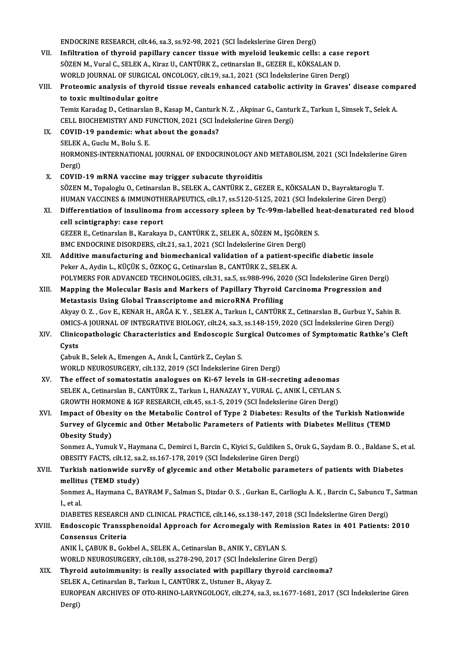ENDOCRINE RESEARCH, cilt.46, sa.3, ss.92-98, 2021 (SCI İndekslerine Giren Dergi)

- VII. Infiltration of thyroid papillary cancer tissue with myeloid leukemic cells: a case report SÖZENM.,VuralC.,SELEKA.,KirazU.,CANTÜRKZ., cetinarslanB.,GEZERE.,KÖKSALAND. Infiltration of thyroid papillary cancer tissue with myeloid leukemic cells: a case re<br>SÖZEN M., Vural C., SELEK A., Kiraz U., CANTÜRK Z., cetinarslan B., GEZER E., KÖKSALAN D.<br>WORLD JOURNAL OF SURGICAL ONCOLOGY, cilt.19,
- VIII. Proteomic analysis of thyroid tissue reveals enhanced catabolic activity in Graves' disease compared<br>to toxic multinodular goitre WORLD JOURNAL OF SURGICAL<br>Proteomic analysis of thyroi<br>to toxic multinodular goitre<br>Tomiz Karadag D. Cetinarslan B Proteomic analysis of thyroid tissue reveals enhanced catabolic activity in Graves' disease comp<br>to toxic multinodular goitre<br>Temiz Karadag D., Cetinarslan B., Kasap M., Canturk N. Z. , Akpinar G., Canturk Z., Tarkun I., S

to toxic multinodular goitre<br>Temiz Karadag D., Cetinarslan B., Kasap M., Canturk N. Z. , Akpinar G., Cantur<br>CELL BIOCHEMISTRY AND FUNCTION, 2021 (SCI İndekslerine Giren Dergi)<br>COVID 19 nandamisı urbat abayt the ganada? Temiz Karadag D., Cetinarslan B., Kasap M., Canturk<br>CELL BIOCHEMISTRY AND FUNCTION, 2021 (SCI In<br>IX. COVID-19 pandemic: what about the gonads?<br>SELEV A. Cushi M. Bohi S. E

- CELL BIOCHEMISTRY AND FI<br>COVID-19 pandemic: what<br>SELEK A., Guclu M., Bolu S. E.<br>HOPMONES INTERNATIONAL HORMONES-INTERNATIONAL JOURNAL OF ENDOCRINOLOGY AND METABOLISM, 2021 (SCI İndekslerine Giren<br>Dergi) SELEK A., Guclu M., Bolu S. E.
- X. COVID-19mRNA vaccinemay trigger subacute thyroiditis SÖZEN M., Topaloglu O., Cetinarslan B., SELEK A., CANTÜRK Z., GEZER E., KÖKSALAN D., Bayraktaroglu T. COVID-19 mRNA vaccine may trigger subacute thyroiditis<br>SÖZEN M., Topaloglu O., Cetinarslan B., SELEK A., CANTÜRK Z., GEZER E., KÖKSALAN D., Bayraktaroglu T.<br>HUMAN VACCINES & IMMUNOTHERAPEUTICS, cilt.17, ss.5120-5125, 2021 SÖZEN M., Topaloglu O., Cetinarslan B., SELEK A., CANTÜRK Z., GEZER E., KÖKSALAN D., Bayraktaroglu T.<br>HUMAN VACCINES & IMMUNOTHERAPEUTICS, cilt.17, ss.5120-5125, 2021 (SCI İndekslerine Giren Dergi)<br>XI. Differentiation of i
- HUMAN VACCINES & IMMUNOTH<br>Differentiation of insulinoma<br>cell scintigraphy: case report Differentiation of insulinoma from accessory spleen by Tc-99m-labelled h<br>cell scintigraphy: case report<br>GEZER E., Cetinarslan B., Karakaya D., CANTÜRK Z., SELEK A., SÖZEN M., İŞGÖREN S.<br>PMC ENDOCRINE DISORDERS. silt 21, 99 cell scintigraphy: case report<br>GEZER E., Cetinarslan B., Karakaya D., CANTÜRK Z., SELEK A., SÖZEN M., İŞGÖREN S.<br>BMC ENDOCRINE DISORDERS, cilt.21, sa.1, 2021 (SCI İndekslerine Giren Dergi)
- GEZER E., Cetinarslan B., Karakaya D., CANTÜRK Z., SELEK A., SÖZEN M., İŞGÖREN S.<br>BMC ENDOCRINE DISORDERS, cilt.21, sa.1, 2021 (SCI İndekslerine Giren Dergi)<br>XII. Additive manufacturing and biomechanical validation of a pa BMC ENDOCRINE DISORDERS, cilt.21, sa.1, 2021 (SCI İndekslerine Giren Der,<br>Additive manufacturing and biomechanical validation of a patient-s;<br>Peker A., Aydin L., KÜÇÜK S., ÖZKOÇ G., Cetinarslan B., CANTÜRK Z., SELEK A.<br>POL Additive manufacturing and biomechanical validation of a patient-specific diabetic insole<br>Peker A., Aydin L., KÜÇÜK S., ÖZKOÇ G., Cetinarslan B., CANTÜRK Z., SELEK A.<br>POLYMERS FOR ADVANCED TECHNOLOGIES, cilt.31, sa.5, ss.9 Peker A., Aydin L., KÜÇÜK S., ÖZKOÇ G., Cetinarslan B., CANTÜRK Z., SELEK A.<br>POLYMERS FOR ADVANCED TECHNOLOGIES, cilt.31, sa.5, ss.988-996, 2020 (SCI İndekslerine Giren Derg<br>XIII. Mapping the Molecular Basis and Markers of
- POLYMERS FOR ADVANCED TECHNOLOGIES, cilt.31, sa.5, ss.988-996, 20<br>Mapping the Molecular Basis and Markers of Papillary Thyroid<br>Metastasis Using Global Transcriptome and microRNA Profiling<br>Alway O. 7. Cov E. KENAB H. ABČA K Mapping the Molecular Basis and Markers of Papillary Thyroid Carcinoma Progression and<br>Metastasis Using Global Transcriptome and microRNA Profiling<br>Akyay O. Z. , Gov E., KENAR H., ARĞA K.Y. , SELEK A., Tarkun I., CANTÜRK Z Metastasis Using Global Transcriptome and microRNA Profiling<br>Akyay O. Z. , Gov E., KENAR H., ARĞA K. Y. , SELEK A., Tarkun I., CANTÜRK Z., Cetinarslan B., Gurbuz Y., Sahin<br>OMICS-A JOURNAL OF INTEGRATIVE BIOLOGY, cilt.24, s OMICS-A JOURNAL OF INTEGRATIVE BIOLOGY, cilt.24, sa.3, ss.148-159, 2020 (SCI İndekslerine Giren Dergi)
- XIV. Clinicopathologic Characteristics and Endoscopic Surgical Outcomes of Symptomatic Rathke's Cleft

Çabuk B., Selek A., Emengen A., Anık İ., Cantürk Z., Ceylan S. WORLD NEUROSURGERY, cilt.132, 2019 (SCI İndekslerine Giren Dergi)

- XV. The effect of somatostatin analogues on Ki-67 levels in GH-secreting adenomas WORLD NEUROSURGERY, cilt.132, 2019 (SCI İndekslerine Giren Dergi)<br>The effect of somatostatin analogues on Ki-67 levels in GH-secreting adenomas<br>SELEK A., Cetinarslan B., CANTÜRK Z., Tarkun I., HANAZAY Y., VURAL Ç., ANIK İ. The effect of somatostatin analogues on Ki-67 levels in GH-secreting adenomas<br>SELEK A., Cetinarslan B., CANTÜRK Z., Tarkun I., HANAZAY Y., VURAL Ç., ANIK İ., CEYLAN S<br>GROWTH HORMONE & IGF RESEARCH, cilt.45, ss.1-5, 2019 (S
- GROWTH HORMONE & IGF RESEARCH, cilt.45, ss.1-5, 2019 (SCI Indekslerine Giren Dergi)<br>XVI. Impact of Obesity on the Metabolic Control of Type 2 Diabetes: Results of the Turkish Nationwide GROWTH HORMONE & IGF RESEARCH, cilt.45, ss.1-5, 2019 (SCI İndekslerine Giren Dergi)<br>Impact of Obesity on the Metabolic Control of Type 2 Diabetes: Results of the Turkish Nationw<br>Survey of Glycemic and Other Metabolic Param Impact of Obes<br>Survey of Glyce<br>Obesity Study)<br>Sonmer A. Vumu Survey of Glycemic and Other Metabolic Parameters of Patients with Diabetes Mellitus (TEMD<br>Obesity Study)<br>Sonmez A., Yumuk V., Haymana C., Demirci I., Barcin C., Kiyici S., Guldiken S., Oruk G., Saydam B. O. , Baldane S.,

Obesity Study)<br>Sonmez A., Yumuk V., Haymana C., Demirci I., Barcin C., Kiyici S., Guldiken S., Ol<br>OBESITY FACTS, cilt.12, sa.2, ss.167-178, 2019 (SCI İndekslerine Giren Dergi)<br>Turkich pationuide suruEy of slusemis and othe

## Sonmez A., Yumuk V., Haymana C., Demirci I., Barcin C., Kiyici S., Guldiken S., Oruk G., Saydam B. O. , Baldane S., et al.<br>OBESITY FACTS, cilt.12, sa.2, ss.167-178, 2019 (SCI İndekslerine Giren Dergi)<br>XVII. Turkish nationw OBESITY FACTS, cilt.12, sa<br>Turkish nationwide sur<br>mellitus (TEMD study)<br>Sonmer A. Haymana C. B. Turkish nationwide survEy of glycemic and other Metabolic parameters of patients with Diabetes<br>mellitus (TEMD study)<br>Sonmez A., Haymana C., BAYRAM F., Salman S., Dizdar O.S. , Gurkan E., Carlioglu A. K. , Barcin C., Sabunc

mellit<mark>u</mark><br>Sonme:<br>I., et al.<br>DIAPE: Sonmez A., Haymana C., BAYRAM F., Salman S., Dizdar O. S. , Gurkan E., Carlioglu A. K. , Barcin C., Sabuncu T<br>I., et al.<br>DIABETES RESEARCH AND CLINICAL PRACTICE, cilt.146, ss.138-147, 2018 (SCI İndekslerine Giren Dergi)<br>En

## I., et al.<br>DIABETES RESEARCH AND CLINICAL PRACTICE, cilt.146, ss.138-147, 2018 (SCI İndekslerine Giren Dergi)<br>XVIII. Endoscopic Transsphenoidal Approach for Acromegaly with Remission Rates in 401 Patients: 2010<br>Consens DIABETES RESEARCH AND CLINICAL PRACTICE, cilt.146, ss.138-147, 2018 (SCI İndekslerine Giren Dergi)<br>Endoscopic Transsphenoidal Approach for Acromegaly with Remission Rates in 401 Patients:<br>Consensus Criteria<br>ANIK İ., ÇABUK Endoscopic Transsphenoidal Approach for Acromegaly with Ren<br>Consensus Criteria<br>ANIK İ., ÇABUK B., Gokbel A., SELEK A., Cetinarslan B., ANIK Y., CEYLAN S.<br>WORLD NEUROSURCERY. silt 108, ss 278, 290, 2017 (SCLİndekalerine Cir Consensus Criteria<br>ANIK İ., ÇABUK B., Gokbel A., SELEK A., Cetinarslan B., ANIK Y., CEYLAN S.<br>WORLD NEUROSURGERY, cilt.108, ss.278-290, 2017 (SCI İndekslerine Giren Dergi)<br>Thuneid autoimmunity, is neally associated with no

ANIK İ., ÇABUK B., Gokbel A., SELEK A., Cetinarslan B., ANIK Y., CEYLAN S.<br>WORLD NEUROSURGERY, cilt.108, ss.278-290, 2017 (SCI İndekslerine Giren Dergi)<br>XIX. Thyroid autoimmunity: is really associated with papillary thyroi WORLD NEUROSURGERY, cilt.108, ss.278-290, 2017 (SCI İndekslerin<br>Thyroid autoimmunity: is really associated with papillary th<br>SELEK A., Cetinarslan B., Tarkun I., CANTÜRK Z., Ustuner B., Akyay Z.<br>FUROPEAN ARCHIVES OF OTO PH Thyroid autoimmunity: is really associated with papillary thyroid carcinoma?<br>SELEK A., Cetinarslan B., Tarkun I., CANTÜRK Z., Ustuner B., Akyay Z.<br>EUROPEAN ARCHIVES OF OTO-RHINO-LARYNGOLOGY, cilt.274, sa.3, ss.1677-1681, 2 SELEK A., Cetinarslan B., Tarkun I., CANTÜRK Z., Ustuner B., Akyay Z.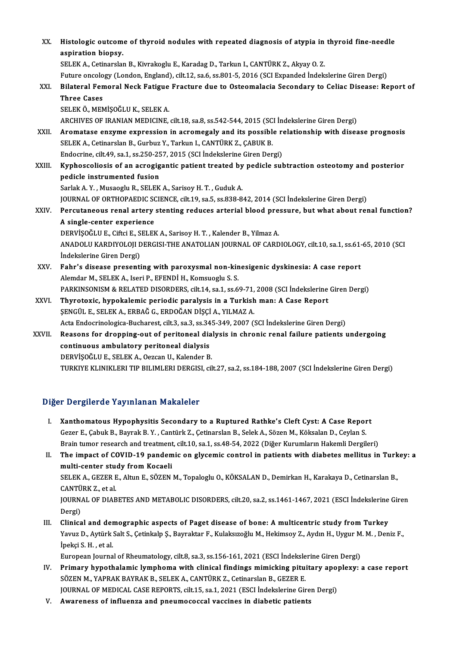| XX.    | Histologic outcome of thyroid nodules with repeated diagnosis of atypia in thyroid fine-needle           |
|--------|----------------------------------------------------------------------------------------------------------|
|        | aspiration biopsy.                                                                                       |
|        | SELEK A., Cetinarslan B., Kivrakoglu E., Karadag D., Tarkun I., CANTÜRK Z., Akyay O. Z.                  |
|        | Future oncology (London, England), cilt.12, sa.6, ss.801-5, 2016 (SCI Expanded Indekslerine Giren Dergi) |
| XXI.   | Bilateral Femoral Neck Fatigue Fracture due to Osteomalacia Secondary to Celiac Disease: Report of       |
|        | <b>Three Cases</b>                                                                                       |
|        | SELEK Ö., MEMIŞOĞLU K., SELEK A.                                                                         |
|        | ARCHIVES OF IRANIAN MEDICINE, cilt.18, sa.8, ss.542-544, 2015 (SCI Indekslerine Giren Dergi)             |
| XXII.  | Aromatase enzyme expression in acromegaly and its possible relationship with disease prognosis           |
|        | SELEK A., Cetinarslan B., Gurbuz Y., Tarkun I., CANTÜRK Z., ÇABUK B.                                     |
|        | Endocrine, cilt 49, sa.1, ss.250-257, 2015 (SCI İndekslerine Giren Dergi)                                |
| XXIII. | Kyphoscoliosis of an acrogigantic patient treated by pedicle subtraction osteotomy and posterior         |
|        | pedicle instrumented fusion                                                                              |
|        | Sarlak A.Y., Musaoglu R., SELEK A., Sarisoy H.T., Guduk A.                                               |
|        | JOURNAL OF ORTHOPAEDIC SCIENCE, cilt.19, sa.5, ss.838-842, 2014 (SCI İndekslerine Giren Dergi)           |
| XXIV.  | Percutaneous renal artery stenting reduces arterial blood pressure, but what about renal function?       |
|        | A single-center experience                                                                               |
|        | DERVIȘOĞLU E., Ciftci E., SELEK A., Sarisoy H. T., Kalender B., Yilmaz A.                                |
|        | ANADOLU KARDIYOLOJI DERGISI-THE ANATOLIAN JOURNAL OF CARDIOLOGY, cilt.10, sa.1, ss.61-65, 2010 (SCI      |
|        | Indekslerine Giren Dergi)                                                                                |
| XXV.   | Fahr's disease presenting with paroxysmal non-kinesigenic dyskinesia: A case report                      |
|        | Alemdar M., SELEK A., Iseri P., EFENDİ H., Komsuoglu S. S.                                               |
|        | PARKINSONISM & RELATED DISORDERS, cilt.14, sa.1, ss.69-71, 2008 (SCI İndekslerine Giren Dergi)           |
| XXVI.  | Thyrotoxic, hypokalemic periodic paralysis in a Turkish man: A Case Report                               |
|        | ŞENGÜL E., SELEK A., ERBAĞ G., ERDOĞAN DİŞÇİ A., YILMAZ A.                                               |
|        | Acta Endocrinologica-Bucharest, cilt.3, sa.3, ss.345-349, 2007 (SCI İndekslerine Giren Dergi)            |
| XXVII. | Reasons for dropping-out of peritoneal dialysis in chronic renal failure patients undergoing             |
|        | continuous ambulatory peritoneal dialysis                                                                |
|        | DERVİŞOĞLU E., SELEK A., Oezcan U., Kalender B.                                                          |
|        | TURKIYE KLINIKLERI TIP BILIMLERI DERGISI, cilt.27, sa.2, ss.184-188, 2007 (SCI İndekslerine Giren Dergi) |
|        |                                                                                                          |

## Diğer Dergilerde Yayınlanan Makaleler

Iger Dergilerde Yayınlanan Makaleler<br>I. Xanthomatous Hypophysitis Secondary to a Ruptured Rathke's Cleft Cyst: A Case Report<br>Cerer E Cabuk B. Baynak B. X. Centürk Z. Cetinoralan B. Salak A. Sören M. Kölselan D. Ceylan S. r Bergherde Taymmahan Makaierer<br>Kanthomatous Hypophysitis Secondary to a Ruptured Rathke's Cleft Cyst: A Case Repor<br>Gezer E., Çabuk B., Bayrak B.Y. , Cantürk Z., Çetinarslan B., Selek A., Sözen M., Köksalan D., Ceylan S.<br>P Xanthomatous Hypophysitis Secondary to a Ruptured Rathke's Cleft Cyst: A Case Report<br>Gezer E., Çabuk B., Bayrak B. Y. , Cantürk Z., Çetinarslan B., Selek A., Sözen M., Köksalan D., Ceylan S.<br>Brain tumor research and treatm Gezer E., Çabuk B., Bayrak B. Y. , Cantürk Z., Çetinarslan B., Selek A., Sözen M., Köksalan D., Ceylan S.<br>Brain tumor research and treatment, cilt.10, sa.1, ss.48-54, 2022 (Diğer Kurumların Hakemli Dergileri)<br>II. The impac

multi-center study from Kocaeli The impact of COVID-19 pandemic on glycemic control in patients with diabetes mellitus in Turk<br>multi-center study from Kocaeli<br>SELEK A., GEZER E., Altun E., SÖZEN M., Topaloglu O., KÖKSALAN D., Demirkan H., Karakaya D., Ce multi-center stue<br>SELEK A., GEZER E<br>CANTÜRK Z., et al.<br>JOUPMAL OF DIAP SELEK A., GEZER E., Altun E., SÖZEN M., Topaloglu O., KÖKSALAN D., Demirkan H., Karakaya D., Cetinarslan B.,<br>CANTÜRK Z., et al.<br>JOURNAL OF DIABETES AND METABOLIC DISORDERS, cilt.20, sa.2, ss.1461-1467, 2021 (ESCI İndeksler CANTÜ<br>JOURN<br>Dergi)<br>Clinica I I. JOURNAL OF DIABETES AND METABOLIC DISORDERS, cilt.20, sa.2, ss.1461-1467, 2021 (ESCI İndekslerine<br>Dergi)<br>III. Clinical and demographic aspects of Paget disease of bone: A multicentric study from Turkey<br>Varua D. Autürk

Dergi)<br>Clinical and demographic aspects of Paget disease of bone: A multicentric study from Turkey<br>Yavuz D., Aytürk Salt S., Çetinkalp Ş., Bayraktar F., Kulaksızoğlu M., Hekimsoy Z., Aydın H., Uygur M. M. , Deniz F.,<br>İneks **Clinical and der<br>Yavuz D., Aytürk :<br>İpekçi S. H. , et al.**<br>Euronean Jaurna Yavuz D., Aytürk Salt S., Çetinkalp Ş., Bayraktar F., Kulaksızoğlu M., Hekimsoy Z., Aydın H., Uygur M<br>İpekçi S. H. , et al.<br>European Journal of Rheumatology, cilt.8, sa.3, ss.156-161, 2021 (ESCI İndekslerine Giren Dergi)<br>P

- Ipekçi S. H. , et al.<br>European Journal of Rheumatology, cilt.8, sa.3, ss.156-161, 2021 (ESCI Indekslerine Giren Dergi)<br>IV. Primary hypothalamic lymphoma with clinical findings mimicking pituitary apoplexy: a case report<br>SÖ European Journal of Rheumatology, cilt.8, sa.3, ss.156-161, 2021 (ESCI İndeksle<br>Primary hypothalamic lymphoma with clinical findings mimicking pitu:<br>SÖZEN M., YAPRAK BAYRAK B., SELEK A., CANTÜRK Z., Cetinarslan B., GEZER E Primary hypothalamic lymphoma with clinical findings mimicking pituitary apopublical findings mimicking pituitary apopublical cases.<br>JOURNAL OF MEDICAL CASE REPORTS, cilt.15, sa.1, 2021 (ESCI Indekslerine Giren Dergi)<br>Avia SÖZEN M., YAPRAK BAYRAK B., SELEK A., CANTÜRK Z., Cetinarslan B., GEZER E.<br>JOURNAL OF MEDICAL CASE REPORTS, cilt.15, sa.1, 2021 (ESCI Indekslerine Giren Dergi)<br>V. Awareness of influenza and pneumococcal vaccines in diabeti
-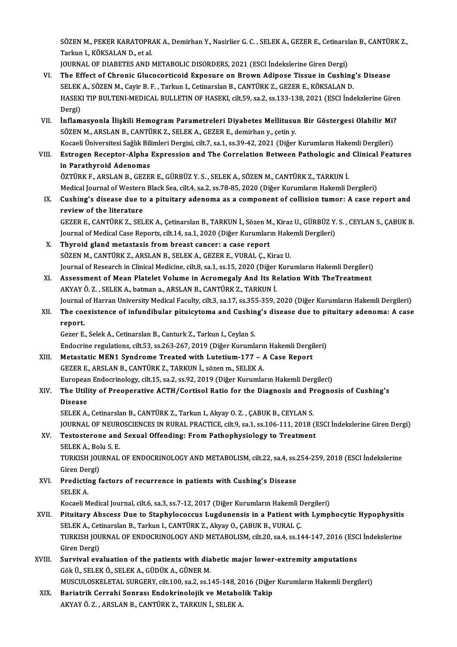SÖZEN M., PEKER KARATOPRAK A., Demirhan Y., Nasirlier G. C. , SELEK A., GEZER E., Cetinarslan B., CANTÜRK Z.,<br>Tarlam L. KÖKSALAN D. et al. SÖZEN M., PEKER KARATOPR.<br>Tarkun I., KÖKSALAN D., et al.<br>JOUPNAL OF DIABETES AND I SÖZEN M., PEKER KARATOPRAK A., Demirhan Y., Nasirlier G. C. , SELEK A., GEZER E., Cetinarsl<br>Tarkun I., KÖKSALAN D., et al.<br>JOURNAL OF DIABETES AND METABOLIC DISORDERS, 2021 (ESCI İndekslerine Giren Dergi)<br>The Effect of Chr

- Tarkun I., KÖKSALAN D., et al.<br>JOURNAL OF DIABETES AND METABOLIC DISORDERS, 2021 (ESCI Indekslerine Giren Dergi)<br>VI. The Effect of Chronic Glucocorticoid Exposure on Brown Adipose Tissue in Cushing's Disease<br>SELEK A. SÖZEN JOURNAL OF DIABETES AND METABOLIC DISORDERS, 2021 (ESCI İndekslerine Giren Dergi)<br>The Effect of Chronic Glucocorticoid Exposure on Brown Adipose Tissue in Cushing<br>SELEK A., SÖZEN M., Cayir B. F. , Tarkun I., Cetinarslan B. HASEKI TIP BULTENI-MEDICAL BULLETIN OF HASEKI, cilt.59, sa.2, ss.133-138, 2021 (ESCI İndekslerine Giren<br>Dergi) SELEK A., SÖZEN M., Cayir B. F., Tarkun I., Cetinarslan B., CANTÜRK Z., GEZER E., KÖKSALAN D.
- VII. İnflamasyonla İlişkili Hemogram Parametreleri Diyabetes Mellitusun Bir Göstergesi Olabilir Mi? SÖZEN M., ARSLAN B., CANTÜRK Z., SELEK A., GEZER E., demirhan y., çetin y. İnflamasyonla İlişkili Hemogram Parametreleri Diyabetes Mellitusun Bir Göstergesi Olabilir Mi?<br>SÖZEN M., ARSLAN B., CANTÜRK Z., SELEK A., GEZER E., demirhan y., çetin y.<br>Kocaeli Üniversitesi Sağlık Bilimleri Dergisi, cilt. SÖZEN M., ARSLAN B., CANTÜRK Z., SELEK A., GEZER E., demirhan y., çetin y.<br>Kocaeli Üniversitesi Sağlık Bilimleri Dergisi, cilt.7, sa.1, ss.39-42, 2021 (Diğer Kurumların Hakemli Dergileri)<br>VIII. Estrogen Receptor-Alpha Expr
- Kocaeli Üniversitesi Sağlık Bili<br>Estrogen Receptor-Alpha<br>in Parathyroid Adenomas<br>ÖZTÜPK E. APSLAN B. CEZEL Estrogen Receptor-Alpha Expression and The Correlation Between Pathologic and<br>in Parathyroid Adenomas<br>ÖZTÜRK F., ARSLAN B., GEZER E., GÜRBÜZ Y. S. , SELEK A., SÖZEN M., CANTÜRK Z., TARKUN İ.<br>Medisəl Journal of Western Plac in Parathyroid Adenomas<br>ÖZTÜRK F., ARSLAN B., GEZER E., GÜRBÜZ Y. S. , SELEK A., SÖZEN M., CANTÜRK Z., TARKUN İ.<br>Medical Journal of Western Black Sea, cilt.4, sa.2, ss.78-85, 2020 (Diğer Kurumların Hakemli Dergileri)<br>Cushi
- ÖZTÜRK F., ARSLAN B., GEZER E., GÜRBÜZ Y. S. , SELEK A., SÖZEN M., CANTÜRK Z., TARKUN İ.<br>Medical Journal of Western Black Sea, cilt.4, sa.2, ss.78-85, 2020 (Diğer Kurumların Hakemli Dergileri)<br>IX. Cushing's disease due to Medical Journal of Western<br>Cushing's disease due to<br>review of the literature Cushing's disease due to a pituitary adenoma as a component of collision tumor: A case report and<br>review of the literature<br>GEZER E., CANTÜRK Z., SELEK A., Çetinarslan B., TARKUN İ., Sözen M., Kiraz U., GÜRBÜZ Y. S. , CEYLA

review of the literature<br>GEZER E., CANTÜRK Z., SELEK A., Çetinarslan B., TARKUN İ., Sözen M., Kiraz U., GÜRBÜZ Y.<br>Journal of Medical Case Reports, cilt.14, sa.1, 2020 (Diğer Kurumların Hakemli Dergileri)<br>Thyneid gland mete Journal of Medical Case Reports, cilt.14, sa.1, 2020 (Diğer Kurumların Hakemli Dergileri)<br>X. Thyroid gland metastasis from breast cancer: a case report

- SÖZEN M., CANTÜRK Z., ARSLAN B., SELEK A., GEZER E., VURAL Ç., Kiraz U. Journal of Research in Clinical Medicine, cilt.8, sa.1, ss.15, 2020 (Diğer Kurumların Hakemli Dergileri)
- XI. Assessment of Mean Platelet Volume in Acromegaly And Its Relation With TheTreatment AKYAY Ö.Z., SELEK A., batman a., ARSLAN B., CANTÜRK Z., TARKUN İ. Assessment of Mean Platelet Volume in Acromegaly And Its Relation With TheTreatment<br>AKYAY Ö. Z. , SELEK A., batman a., ARSLAN B., CANTÜRK Z., TARKUN İ.<br>Journal of Harran University Medical Faculty, cilt.3, sa.17, ss.355-35 AKYAY Ö. Z. , SELEK A., batman a., ARSLAN B., CANTÜRK Z., TARKUN İ.<br>Journal of Harran University Medical Faculty, cilt.3, sa.17, ss.355-359, 2020 (Diğer Kurumların Hakemli Dergileri)<br>XII. The coexistence of infundibula
- Journal<br>The coe<br>report.<br>Cover F The coexistence of infundibular pituicytoma and Cushin<br>report.<br>Gezer E., Selek A., Cetinarslan B., Canturk Z., Tarkun I., Ceylan S.<br>Endecrine regulations, silt 53, ss 262, 267, 2019 (Dižer Kurumle

report.<br>Gezer E., Selek A., Cetinarslan B., Canturk Z., Tarkun I., Ceylan S.<br>Endocrine regulations, cilt.53, ss.263-267, 2019 (Diğer Kurumların Hakemli Dergileri) Gezer E., Selek A., Cetinarslan B., Canturk Z., Tarkun I., Ceylan S.<br>Endocrine regulations, cilt.53, ss.263-267, 2019 (Diğer Kurumların Hakemli Dergi<br>XIII. Metastatic MEN1 Syndrome Treated with Lutetium-177 – A Case Report

- Endocrine regulations, cilt.53, ss.263-267, 2019 (Diğer Kurumları<br>Metastatic MEN1 Syndrome Treated with Lutetium-177 *I*<br>GEZER E., ARSLAN B., CANTÜRK Z., TARKUN İ., sözen m., SELEK A.<br>European Endocrinology silt.15, so.2 GEZER E., ARSLAN B., CANTÜRK Z., TARKUN İ., sözen m., SELEK A.<br>European Endocrinology, cilt.15, sa.2, ss.92, 2019 (Diğer Kurumların Hakemli Dergileri) GEZER E., ARSLAN B., CANTÜRK Z., TARKUN İ., sözen m., SELEK A.<br>European Endocrinology, cilt.15, sa.2, ss.92, 2019 (Diğer Kurumların Hakemli Dergileri)<br>XIV. The Utility of Preoperative ACTH/Cortisol Ratio for the Diagno
- Europear<br><mark>The Utili</mark><br>Disease<br>SELEK A The Utility of Preoperative ACTH/Cortisol Ratio for the Diagnosis and Pi<br>Disease<br>SELEK A., Cetinarslan B., CANTÜRK Z., Tarkun I., Akyay O. Z. , ÇABUK B., CEYLAN S.<br>JOUPMAL OF NEUPOSCIENCES IN PURAL PRACTICE sitt 0, ss 1, s

Disease<br>SELEK A., Cetinarslan B., CANTÜRK Z., Tarkun I., Akyay O. Z. , ÇABUK B., CEYLAN S.<br>JOURNAL OF NEUROSCIENCES IN RURAL PRACTICE, cilt.9, sa.1, ss.106-111, 2018 (ESCI İndekslerine Giren Dergi)<br>Testesterene and Sewyal SELEK A., Cetinarslan B., CANTÜRK Z., Tarkun I., Akyay O. Z. , ÇABUK B., CEYLAN S.<br>JOURNAL OF NEUROSCIENCES IN RURAL PRACTICE, cilt.9, sa.1, ss.106-111, 2018 (1<br>XV. Testosterone and Sexual Offending: From Pathophysiology t

## **JOURNAL OF NEUR<br>Testosterone and<br>SELEK A., Bolu S. E.<br>TURKISH JOURNAL** Testosterone and Sexual Offending: From Pathophysiology to Treatment<br>SELEK A., Bolu S. E.<br>TURKISH JOURNAL OF ENDOCRINOLOGY AND METABOLISM, cilt.22, sa.4, ss.254-259, 2018 (ESCI İndekslerine<br>Ciron Dergi)

SELEK A., Bol<br>TURKISH JOU<br>Giren Dergi)<br>Prodisting f TURKISH JOURNAL OF ENDOCRINOLOGY AND METABOLISM, cilt.22, sa.4, ss.<br>Giren Dergi)<br>XVI. Predicting factors of recurrence in patients with Cushing's Disease<br>SELEMA

## Giren Dergi)<br>XVI. Predicting factors of recurrence in patients with Cushing's Disease<br>SELEK A.

Kocaeli Medical Journal, cilt.6, sa.3, ss.7-12, 2017 (Diğer Kurumların Hakemli Dergileri)

## SELEK A.<br>Kocaeli Medical Journal, cilt.6, sa.3, ss.7-12, 2017 (Diğer Kurumların Hakemli Dergileri)<br>XVII. Pituitary Abscess Due to Staphylococcus Lugdunensis in a Patient with Lymphocytic Hypophysitis<br>SELEK A. Cetinorelan B Kocaeli Medical Journal, cilt.6, sa.3, ss.7-12, 2017 (Diğer Kurumların Hakemli E<br>Pituitary Abscess Due to Staphylococcus Lugdunensis in a Patient wi<br>SELEK A., Cetinarslan B., Tarkun I., CANTÜRK Z., Akyay O., ÇABUK B., VURA Pituitary Abscess Due to Staphylococcus Lugdunensis in a Patient with Lymphocytic Hypophysitis<br>SELEK A., Cetinarslan B., Tarkun I., CANTÜRK Z., Akyay O., ÇABUK B., VURAL Ç.<br>TURKISH JOURNAL OF ENDOCRINOLOGY AND METABOLISM, SELEK A., Cetinarslan B., Tarkun I., CANTÜRK Z., Akyay O., ÇABUK B., VURAL Ç.<br>TURKISH JOURNAL OF ENDOCRINOLOGY AND METABOLISM, cilt.20, sa.4, ss.144-147, 2016 (ESCI İndekslerine<br>Giren Dergi) TURKISH JOURNAL OF ENDOCRINOLOGY AND METABOLISM, cilt.20, sa.4, ss.144-147, 2016 (ESC<br>Giren Dergi)<br>XVIII. Survival evaluation of the patients with diabetic major lower-extremity amputations<br>Gale if SELEV A CUDIVA CUNER M

- Giren Dergi)<br>Survival evaluation of the patients with dia<br>Gök Ü., SELEK Ö., SELEK A., GÜDÜK A., GÜNER M.<br>MUSCULOSKELETAL SURGERY silt 100, 82,2 82.1 Survival evaluation of the patients with diabetic major lower-extremity amputations<br>Gök Ü., SELEK Ö., SELEK A., GÜDÜK A., GÜNER M.<br>MUSCULOSKELETAL SURGERY, cilt.100, sa.2, ss.145-148, 2016 (Diğer Kurumların Hakemli Dergile
- Gök Ü., SELEK Ö., SELEK A., GÜDÜK A., GÜNER M.<br>MUSCULOSKELETAL SURGERY, cilt.100, sa.2, ss.145-148, 2016 (Diğer<br>XIX. Bariatrik Cerrahi Sonrası Endokrinolojik ve Metabolik Takip MUSCULOSKELETAL SURGERY, cilt.100, sa.2, ss.145-148, 2(<br>Bariatrik Cerrahi Sonrası Endokrinolojik ve Metabol<br>AKYAY Ö. Z. , ARSLAN B., CANTÜRK Z., TARKUN İ., SELEK A.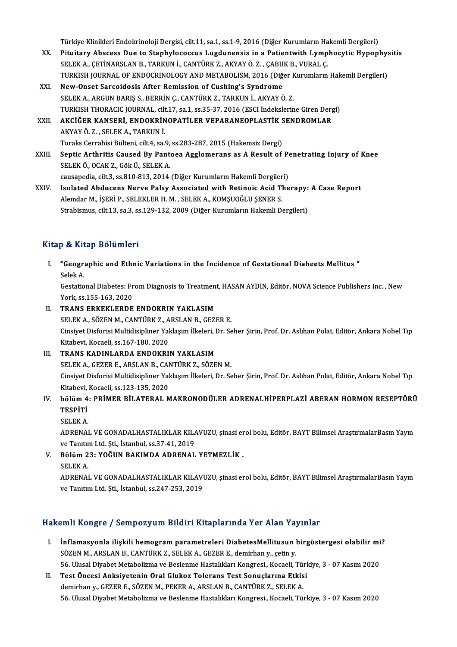Türkiye Klinikleri Endokrinoloji Dergisi, cilt.11, sa.1, ss.1-9, 2016 (Diğer Kurumların Hakemli Dergileri)<br>Pitujtanu Abssess Due te Stanbylosessus Lugdunensis in a Patientwith Lumnbesytis Hynon

- Türkiye Klinikleri Endokrinoloji Dergisi, cilt.11, sa.1, ss.1-9, 2016 (Diğer Kurumların Hakemli Dergileri)<br>XX. Pituitary Abscess Due to Staphylococcus Lugdunensis in a Patientwith Lymphocytic Hypophysitis<br>SELEK A, GETİ Türkiye Klinikleri Endokrinoloji Dergisi, cilt.11, sa.1, ss.1-9, 2016 (Diğer Kurumların Ha<br>Pituitary Abscess Due to Staphylococcus Lugdunensis in a Patientwith Lymp<br>SELEK A., ÇETİNARSLAN B., TARKUN İ., CANTÜRK Z., AKYAY Ö. Pituitary Abscess Due to Staphylococcus Lugdunensis in a Patientwith Lymphocytic Hypophy:<br>SELEK A., ÇETİNARSLAN B., TARKUN İ., CANTÜRK Z., AKYAY Ö. Z. , ÇABUK B., VURAL Ç.<br>TURKISH JOURNAL OF ENDOCRINOLOGY AND METABOLISM, 2 SELEK A., ÇETİNARSLAN B., TARKUN İ., CANTÜRK Z., AKYAY Ö. Z. , ÇABUK B., VURAL Ç.<br>TURKISH JOURNAL OF ENDOCRINOLOGY AND METABOLISM, 2016 (Diğer Kurumların Hakemli Dergileri)<br>XXI. New-Onset Sarcoidosis After Remission of Cus
- SELEK A., ARGUN BARIŞ S., BERRİN Ç., CANTÜRK Z., TARKUN İ., AKYAYÖ. Z. New-Onset Sarcoidosis After Remission of Cushing's Syndrome<br>SELEK A., ARGUN BARIŞ S., BERRİN Ç., CANTÜRK Z., TARKUN İ., AKYAY Ö. Z.<br>TURKISH THORACIC JOURNAL, cilt.17, sa.1, ss.35-37, 2016 (ESCI İndekslerine Giren Dergi)<br>AK SELEK A., ARGUN BARIŞ S., BERRİN Ç., CANTÜRK Z., TARKUN İ., AKYAY Ö. Z.<br>TURKISH THORACIC JOURNAL, cilt.17, sa.1, ss.35-37, 2016 (ESCI İndekslerine Giren Derg<br>XXII. AKCİĞER KANSERİ, ENDOKRİNOPATİLER VEPARANEOPLASTİK SENDROM
- TURKISH THORACIC JOURNAL, cil<mark><br>AKCİĞER KANSERİ, ENDOKRİN</mark><br>AKYAY Ö. Z. , SELEK A., TARKUN İ.<br>Taraks Carrabisi Bültani, silt 4, sa i AKCİĞER KANSERİ, ENDOKRİNOPATİLER VEPARANEOPLASTİK S<br>AKYAY Ö. Z. , SELEK A., TARKUN İ.<br>Toraks Cerrahisi Bülteni, cilt.4, sa.9, ss.283-287, 2015 (Hakemsiz Dergi)<br>Santis Arthritis Caused Bu Bantasa Assemanana as A Besult of AKYAY Ö. Z. , SELEK A., TARKUN İ.<br>Toraks Cerrahisi Bülteni, cilt.4, sa.9, ss.283-287, 2015 (Hakemsiz Dergi)<br>XXIII. Septic Arthritis Caused By Pantoea Agglomerans as A Result of Penetrating Injury of Knee<br>SELEKÖ, OCAK 7
- Toraks Cerrahisi Bülteni, cilt.4, sa.9,<br>Septic Arthritis Caused By Pant<br>SELEK Ö., OCAK Z., Gök Ü., SELEK A. Septic Arthritis Caused By Pantoea Agglomerans as A Result of Pe<br>SELEK Ö., OCAK Z., Gök Ü., SELEK A.<br>causapedia, cilt.3, ss.810-813, 2014 (Diğer Kurumların Hakemli Dergileri)<br>Jealated Abdusens Narye Paley Associated with P SELEK Ö., OCAK Z., Gök Ü., SELEK A.<br>causapedia, cilt.3, ss.810-813, 2014 (Diğer Kurumların Hakemli Dergileri)<br>XXIV. Isolated Abducens Nerve Palsy Associated with Retinoic Acid Therapy: A Case Report
- causapedia, cilt.3, ss.810-813, 2014 (Diğer Kurumların Hakemli Dergiler<br>Isolated Abducens Nerve Palsy Associated with Retinoic Acid Tl<br>Alemdar M., İŞERİ P., SELEKLER H. M. , SELEK A., KOMŞUOĞLU ŞENER S.<br>Strebismus, silt 13 Isolated Abducens Nerve Palsy Associated with Retinoic Acid Therapy:<br>Alemdar M., İŞERİ P., SELEKLER H. M. , SELEK A., KOMŞUOĞLU ŞENER S.<br>Strabismus, cilt.13, sa.3, ss.129-132, 2009 (Diğer Kurumların Hakemli Dergileri) Strabismus, cilt.13, sa.3, ss.129-132, 2009 (Diğer Kurumların Hakemli Dergileri)<br>Kitap & Kitap Bölümleri

itap & Kitap Bölümleri<br>I. "Geographic and Ethnic Variations in the Incidence of Gestational Diabeets Mellitus "<br>Selek A e de est.<br>"Geogra<br>Selek A. **"Geographic and Ethnic Variations in the Incidence of Gestational Diabeets Mellitus "**<br>Selek A.<br>Gestational Diabetes: From Diagnosis to Treatment, HASAN AYDIN, Editör, NOVA Science Publishers Inc. , New<br>York ss 155, 162,

Selek A.<br>Gestational Diabetes: Fr<br>York, ss.155-163, 2020<br>TPANS ERKEKLERDE Gestational Diabetes: From Diagnosis to Treatmen<br>York, ss.155-163, 2020<br>II. TRANS ERKEKLERDE ENDOKRIN YAKLASIM<br>SELEMA SÖZEN M. CANTÜRMZ ARSLAN B. CEZI

- York, ss.155-163, 2020<br>II. TRANS ERKEKLERDE ENDOKRIN YAKLASIM<br>SELEK A., SÖZEN M., CANTÜRK Z., ARSLAN B., GEZER E. TRANS ERKEKLERDE ENDOKRIN YAKLASIM<br>SELEK A., SÖZEN M., CANTÜRK Z., ARSLAN B., GEZER E.<br>Cinsiyet Disforisi Multidisipliner Yaklaşım İlkeleri, Dr. Seher Şirin, Prof. Dr. Aslıhan Polat, Editör, Ankara Nobel Tıp<br>Kitabayi, Kaga SELEK A., SÖZEN M., CANTÜRK Z., A<br>Cinsiyet Disforisi Multidisipliner Yal<br>Kitabevi, Kocaeli, ss.167-180, 2020<br>TRANS KADINI ARDA ENDOKRI Cinsiyet Disforisi Multidisipliner Yaklaşım İlkeleri, I<br>Kitabevi, Kocaeli, ss.167-180, 2020<br>III. TRANS KADINLARDA ENDOKRIN YAKLASIM<br>SELEK A, CEZER E, ARSLAN B, CANTÜRK Z, SÖZE
- Kitabevi, Kocaeli, ss.167-180, 2020<br>TRANS KADINLARDA ENDOKRIN YAKLASIM<br>SELEK A., GEZER E., ARSLAN B., CANTÜRK Z., SÖZEN M.<br>Ginsiyat Disforisi Multidisipliner Valdasım İlkalari, Dr. So TRANS KADINLARDA ENDOKRIN YAKLASIM<br>SELEK A., GEZER E., ARSLAN B., CANTÜRK Z., SÖZEN M.<br>Cinsiyet Disforisi Multidisipliner Yaklaşım İlkeleri, Dr. Seher Şirin, Prof. Dr. Aslıhan Polat, Editör, Ankara Nobel Tıp<br>Kitabevi, Koca SELEK A., GEZER E., ARSLAN B., CAI<br>Cinsiyet Disforisi Multidisipliner Yal<br>Kitabevi, Kocaeli, ss.123-135, 2020<br>bālüm 4. PRİMER RİLATERAL M Cinsiyet Disforisi Multidisipliner Yaklaşım İlkeleri, Dr. Seher Şirin, Prof. Dr. Aslıhan Polat, Editör, Ankara Nobel Tıp<br>Kitabevi, Kocaeli, ss.123-135, 2020<br>IV. bölüm 4: PRİMER BİLATERAL MAKRONODÜLER ADRENALHİPERPLAZİ

## Kitabevi,<br><mark>bölüm 4</mark><br>TESPİTİ<br>SELEK A **bölüm 4<br>TESPİTİ<br>SELEK A.**<br>ADRENAL

TESPİTİ<br>SELEK A.<br>ADRENAL VE GONADALHASTALIKLAR KILAVUZU, şinasi erol bolu, Editör, BAYT Bilimsel AraştırmalarBasın Yayın<br>ve Tanıtm Ltd. Sti. İstanbul ss.27.41.2019. SELEK A.<br>ADRENAL VE GONADALHASTALIKLAR KIL*l*<br>ve Tanıtım Ltd. Şti., İstanbul, ss.37-41, 2019<br>Bölüm 22. VOČUN BAKIMDA ADRENAL ADRENAL VE GONADALHASTALIKLAR KILAVUZU, şinasi er<br>ve Tanıtım Ltd. Şti., İstanbul, ss.37-41, 2019<br>V. Bölüm 23: YOĞUN BAKIMDA ADRENAL YETMEZLİK .<br>SELEK A

ve Tanıtım Ltd. Şti., İstanbul, ss.37-41, 2019<br>V. Bölüm 23: YOĞUN BAKIMDA ADRENAL YETMEZLİK .<br>SELEKA.

ADRENAL VE GONADALHASTALIKLAR KILAVUZU, şinasi erol bolu, Editör, BAYT Bilimsel AraştırmalarBasın Yayın ve Tanıtım Ltd. Şti., İstanbul, ss.247-253, 2019

## Hakemli Kongre / Sempozyum Bildiri Kitaplarında Yer Alan Yayınlar

- akemli Kongre / Sempozyum Bildiri Kitaplarında Yer Alan Yayınlar<br>I. İnflamasyonla ilişkili hemogram parametreleri DiabetesMellitusun birgöstergesi olabilir mi?<br>SÖZEN M. ARSLAN B. GANTÜRK 7. SELEKA, GEZER E. domirban v. set SMIT ROLLET J SOMPOZY UM DRUITT RRUPULTMULT OF TRUITTU.<br>Inflamasyonla ilişkili hemogram parametreleri DiabetesMellitusun |<br>SÖZEN M., ARSLAN B., CANTÜRK Z., SELEK A., GEZER E., demirhan y., çetin y.<br>EE Hlusel Divebet Metabe İnflamasyonla ilişkili hemogram parametreleri DiabetesMellitusun birgöstergesi olabilir mi<br>SÖZEN M., ARSLAN B., CANTÜRK Z., SELEK A., GEZER E., demirhan y., çetin y.<br>56. Ulusal Diyabet Metabolizma ve Beslenme Hastalıkları SÖZEN M., ARSLAN B., CANTÜRK Z., SELEK A., GEZER E., demirhan y., çetin y.<br>56. Ulusal Diyabet Metabolizma ve Beslenme Hastalıkları Kongresi., Kocaeli, Türkiye, 3 - 07 Kasım 2020<br>II. Test Öncesi Anksiyetenin Oral Glukoz
- demirhan y., GEZER E., SÖZEN M., PEKER A., ARSLAN B., CANTÜRK Z., SELEK A. 56. Ulusal Diyabet Metabolizma ve Beslenme Hastalıkları Kongresi., Kocaeli, Türkiye, 3 - 07 Kasım 2020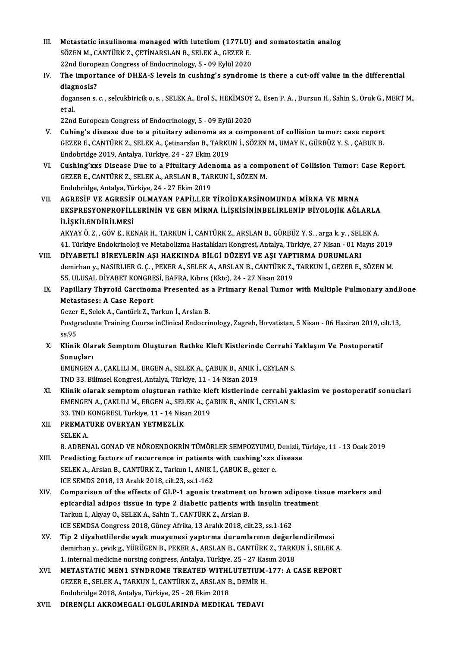- III. Metastatic insulinoma managed with lutetium (177LU) and somatostatin analog<br>SÖZEN M. CANTÜRKZ, CETİNARSLAN B. SELEKA, CEZER F. Metastatic insulinoma managed with lutetium (177LU)<br>SÖZEN M., CANTÜRK Z., ÇETİNARSLAN B., SELEK A., GEZER E.<br>22nd Europeen Congress of Endegrinalegy E., 99 Erlül 2020 Metastatic insulinoma managed with lutetium (177LU)<br>SÖZEN M., CANTÜRK Z., ÇETİNARSLAN B., SELEK A., GEZER E.<br>22nd European Congress of Endocrinology, 5 - 09 Eylül 2020<br>The impertance of DHEA S levels in suching's sundrom SÖZEN M., CANTÜRK Z., ÇETİNARSLAN B., SELEK A., GEZER E.<br>22nd European Congress of Endocrinology, 5 - 09 Eylül 2020<br>IV. The importance of DHEA-S levels in cushing's syndrome is there a cut-off value in the differential<br>dia
- 22nd Europe<br>The import<br>diagnosis?<br>degansens The importance of DHEA-S levels in cushing's syndrome is there a cut-off value in the differential<br>diagnosis?<br>dogansen s. c. , selcukbiricik o. s. , SELEK A., Erol S., HEKİMSOY Z., Esen P. A. , Dursun H., Sahin S., Oruk G.

diagnosis?<br>dogansen s. c. , selcukbiricik o. s. , SELEK A., Erol S., HEKİMSOY<br>et al.<br>22nd European Congress of Endocrinology, 5 - 09 Eylül 2020 dogansen s. c. , selcukbiricik o. s. , SELEK A., Erol S., HEKİMSOY<br>22nd European Congress of Endocrinology, 5 - 09 Eylül 2020<br>Cubing's disease due te e nituitary edeneme as a semn

- V. Cuhing's disease due to a pituitary adenoma as a component of collision tumor: case report 22nd European Congress of Endocrinology, 5 - 09 Eylül 2020<br>Cuhing's disease due to a pituitary adenoma as a component of collision tumor: case report<br>GEZER E., CANTÜRK Z., SELEK A., Çetinarslan B., TARKUN İ., SÖZEN M., UMA Cuhing's disease due to a pituitary adenoma as a<br>GEZER E., CANTÜRK Z., SELEK A., Çetinarslan B., TARKU<br>Endobridge 2019, Antalya, Türkiye, 24 - 27 Ekim 2019<br>Cushing'we Disease Due to a Bituitary Adenoma GEZER E., CANTÜRK Z., SELEK A., Çetinarslan B., TARKUN İ., SÖZEN M., UMAY K., GÜRBÜZ Y. S. , ÇABUK B.<br>Endobridge 2019, Antalya, Türkiye, 24 - 27 Ekim 2019<br>VI. Cushing'xxs Disease Due to a Pituitary Adenoma as a component o
- Endobridge 2019, Antalya, Türkiye, 24 27 Ekim 2019<br>Cushing'xxs Disease Due to a Pituitary Adenoma as a comp<br>GEZER E., CANTÜRK Z., SELEK A., ARSLAN B., TARKUN İ., SÖZEN M.<br>Endebridge Antalya Türkiye 24, 27 Ekim 2019 GEZER E., CANTÜRK Z., SELEK A., ARSLAN B., TARKUN İ., SÖZEN M.<br>Endobridge, Antalya, Türkiye, 24 - 27 Ekim 2019
- VII. AGRESİF VE AGRESİF OLMAYAN PAPİLLER TİROİDKARSİNOMUNDA MİRNA VE MRNA Endobridge, Antalya, Türkiye, 24 - 27 Ekim 2019<br>AGRESİF VE AGRESİF OLMAYAN PAPİLLER TİROİDKARSİNOMUNDA MİRNA VE MRNA<br>EKSPRESYONPROFİLLERİNİN VE GEN MİRNA İLİŞKİSİNİNBELİRLENİP BİYOLOJİK AĞLARLA<br>İLİSKİLENDİRİLMESİ İLİŞKİLENDİRİLMESİ<br>AKYAY Ö. Z. , GÖV E., KENAR H., TARKUN İ., CANTÜRK Z., ARSLAN B., GÜRBÜZ Y. S. , arga k. y. , SELEK A. EKSPRESYONPROFİLLERİNİN VE GEN MİRNA İLİŞKİSİNİNBELİRLENİP BİYOLOJİK AĞLARLA<br>İLİŞKİLENDİRİLMESİ<br>AKYAY Ö. Z. , GÖV E., KENAR H., TARKUN İ., CANTÜRK Z., ARSLAN B., GÜRBÜZ Y. S. , arga k. y. , SELEK A.<br>41. Türkiye Endekrinele

41. Türkiye Endokrinoloji ve Metabolizma Hastalıkları Kongresi, Antalya, Türkiye, 27 Nisan - 01 Mayıs 2019 AKYAY Ö. Z. , GÖV E., KENAR H., TARKUN İ., CANTÜRK Z., ARSLAN B., GÜRBÜZ Y. S. , arga k. y. , SEL<br>41. Türkiye Endokrinoloji ve Metabolizma Hastalıkları Kongresi, Antalya, Türkiye, 27 Nisan - 01 M.<br>1911. – DİYABETLİ BİREYLE

- demirhan y., NASIRLIER G. Ç. , PEKER A., SELEK A., ARSLAN B., CANTÜRK Z., TARKUN İ., GEZER E., SÖZEN M.<br>55. ULUSAL DİYABET KONGRESİ, BAFRA, Kıbrıs (Kktc), 24 27 Nisan 2019 DİYABETLİ BİREYLERİN AŞI HAKKINDA BİLGİ DÜZEYİ VE AŞI YAPT<br>demirhan y., NASIRLIER G. Ç. , PEKER A., SELEK A., ARSLAN B., CANTÜRK Z.,<br>55. ULUSAL DİYABET KONGRESİ, BAFRA, Kıbrıs (Kktc), 24 - 27 Nisan 2019<br>Panillaru Thurqid C demirhan y., NASIRLIER G. Ç. , PEKER A., SELEK A., ARSLAN B., CANTÜRK Z., TARKUN İ., GEZER E., SÖZEN M.<br>55. ULUSAL DİYABET KONGRESİ, BAFRA, Kıbrıs (Kktc), 24 - 27 Nisan 2019<br>IX. Papillary Thyroid Carcinoma Presented as
- 55. ULUSAL DİYABET KONGRE<br>Papillary Thyroid Carcinon<br>Metastases: A Case Report Papillary Thyroid Carcinoma Presented as<br>Metastases: A Case Report<br>Gezer E., Selek A., Cantürk Z., Tarkun İ., Arslan B.<br>Bestanaduata Training Course inClinical Endecrii

Metastases: A Case Report<br>Gezer E., Selek A., Cantürk Z., Tarkun İ., Arslan B.<br>Postgraduate Training Course inClinical Endocrinology, Zagreb, Hırvatistan, 5 Nisan - 06 Haziran 2019, cilt.13, Gezer<br>Postgi<br>ss.95<br>Klinil Postgraduate Training Course inClinical Endocrinology, Zagreb, Hırvatistan, 5 Nisan - 06 Haziran 2019, c<br>ss.95<br>X. Klinik Olarak Semptom Oluşturan Rathke Kleft Kistlerinde Cerrahi Yaklaşım Ve Postoperatif<br>Senyeları

ss.95<br>Klinik Ola<br>Sonuçları<br>EMENCEN Klinik Olarak Semptom Oluşturan Rathke Kleft Kistlerinde Cerrahi !<br>Sonuçları<br>EMENGEN A., ÇAKLILI M., ERGEN A., SELEK A., ÇABUK B., ANIK İ., CEYLAN S.<br>TND 22. Bilimsel Kongresi, Artalya Türkiye 11, 14 Nisan 2019

Sonuçları<br>EMENGEN A., ÇAKLILI M., ERGEN A., SELEK A., ÇABUK B., ANIK İ.<br>TND 33. Bilimsel Kongresi, Antalya, Türkiye, 11 - 14 Nisan 2019<br>Klinik alanak samptam alusturan rathka klaft kiştlerinde

- EMENGEN A., ÇAKLILI M., ERGEN A., SELEK A., ÇABUK B., ANIK İ., CEYLAN S.<br>TND 33. Bilimsel Kongresi, Antalya, Türkiye, 11 14 Nisan 2019<br>XI. Klinik olarak semptom oluşturan rathke kleft kistlerinde cerrahi yaklasim ve post TND 33. Bilimsel Kongresi, Antalya, Türkiye, 11 - 14 Nisan 2019<br>Klinik olarak semptom oluşturan rathke kleft kistlerinde cerrahi ya<br>EMENGEN A., ÇAKLILI M., ERGEN A., SELEK A., ÇABUK B., ANIK İ., CEYLAN S.<br>22. TND KONGBESI, Klinik olarak semptom oluşturan rathke kle<br>EMENGEN A., ÇAKLILI M., ERGEN A., SELEK A., ÇA<br>33. TND KONGRESI, Türkiye, 11 - 14 Nisan 2019<br>PREMATURE OVERYAN YETMEZI İK EMENGEN A., ÇAKLILI M., ERGEN A., SEL<br>33. TND KONGRESI, Türkiye, 11 - 14 Nisa<br>XII. PREMATURE OVERYAN YETMEZLİK
- 33. TND I<br>PREMAT<br>SELEK A. 8.<br>8. ADRENAL GONAD VE NÖROENDOKRİN TÜMÖRLER SEMPOZYUMU, Denizli, Türkiye, 11 - 13 Ocak 2019
- XIII. Predicting factors of recurrence in patients with cushing'xxs disease 8. ADRENAL GONAD VE NÖROENDOKRİN TÜMÖRLER SEMPOZYUMU,<br>Predicting factors of recurrence in patients with cushing'xxs<br>SELEK A., Arslan B., CANTÜRK Z., Tarkun I., ANIK İ., ÇABUK B., gezer e.<br>ICE SEMDS 2019-12 Aralık 2019-cilt Predicting factors of recurrence in patients<br>SELEK A., Arslan B., CANTÜRK Z., Tarkun I., ANIK İ<br>ICE SEMDS 2018, 13 Aralık 2018, cilt.23, ss.1-162<br>Comparison of the effects of GLB 1 agenis tr SELEK A., Arslan B., CANTÜRK Z., Tarkun I., ANIK İ., ÇABUK B., gezer e.<br>ICE SEMDS 2018, 13 Aralık 2018, cilt.23, ss.1-162<br>XIV. Comparison of the effects of GLP-1 agonis treatment on brown adipose tissue markers and<br>opisard
- ICE SEMDS 2018, 13 Aralık 2018, cilt.23, ss.1-162<br>Comparison of the effects of GLP-1 agonis treatment on brown adipose ti<br>epicardial adipos tissue in type 2 diabetic patients with insulin treatment<br>Tarlam L. Alway O. SELEK Comparison of the effects of GLP-1 agonis treatment of<br>epicardial adipos tissue in type 2 diabetic patients wit<br>Tarkun I., Akyay O., SELEK A., Sahin T., CANTÜRK Z., Arslan B.<br>JCE SEMDSA Congress 2018, Cüney Afrika, 12 Arsl epicardial adipos tissue in type 2 diabetic patients with insulin treatment<br>Tarkun I., Akyay O., SELEK A., Sahin T., CANTÜRK Z., Arslan B.<br>ICE SEMDSA Congress 2018, Güney Afrika, 13 Aralık 2018, cilt.23, ss.1-162
- XV. Tip 2 diyabetlilerde ayakmuayenesi yaptırma durumlarının değerlendirilmesi demirhan y., çevik g., YÜRÜGEN B., PEKER A., ARSLAN B., CANTÜRK Z., TARKUN İ., SELEK A. Tip 2 diyabetlilerde ayak muayenesi yaptırma durumlarının değerle<br>demirhan y., çevik g., YÜRÜGEN B., PEKER A., ARSLAN B., CANTÜRK Z., TARKI<br>1. internal medicine nursing congress, Antalya, Türkiye, 25 - 27 Kasım 2018<br>METAST demirhan y., çevik g., YÜRÜGEN B., PEKER A., ARSLAN B., CANTÜRK Z., TARKUN İ., SELEK A.<br>1. internal medicine nursing congress, Antalya, Türkiye, 25 - 27 Kasım 2018<br>XVI. METASTATIC MEN1 SYNDROME TREATED WITHLUTETIUM-177: A
- 1. internal medicine nursing congress, Antalya, Türkiye, 25 27 Kas<br>METASTATIC MEN1 SYNDROME TREATED WITHLUTETIUM-<br>GEZER E., SELEK A., TARKUN İ., CANTÜRK Z., ARSLAN B., DEMİR H.<br>Endebridge 2018. Artelya Türkiye, 25 29 E METASTATIC MEN1 SYNDROME TREATED WITHI<br>GEZER E., SELEK A., TARKUN İ., CANTÜRK Z., ARSLAN B<br>Endobridge 2018, Antalya, Türkiye, 25 - 28 Ekim 2018<br>DIRENCU AKROMECALL OLGULARINDA MEDIKA GEZER E., SELEK A., TARKUN İ., CANTÜRK Z., ARSLAN B., DEMİR H.<br>Endobridge 2018, Antalya, Türkiye, 25 - 28 Ekim 2018<br>XVII. DIRENÇLI AKROMEGALI OLGULARINDA MEDIKAL TEDAVI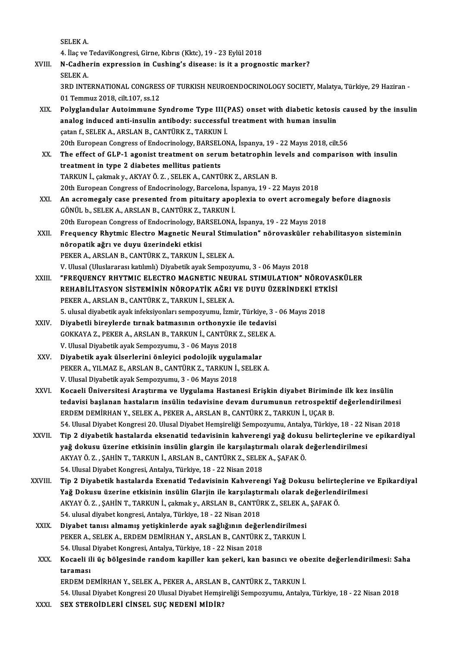SELEKA.

SELEK A.<br>4. İlaç ve TedaviKongresi, Girne, Kıbrıs (Kktc), 19 - 23 Eylül 2018<br>N. Cadherin evnnessien in Gushing's disesse: is it a nnasne

XVIII. N-Cadherin expression in Cushing's disease: is it a prognostic marker?<br>SELEK A. 4. İlaç ve<br>N-Cadhe<br>SELEK A. N-Cadherin expression in Cushing's disease: is it a prognostic marker?<br>SELEK A.<br>3RD INTERNATIONAL CONGRESS OF TURKISH NEUROENDOCRINOLOGY SOCIETY, Malatya, Türkiye, 29 Haziran -<br>01 Temmuz 2018, silt 107, ss 12

SELEK A.<br>3RD INTERNATIONAL CONGRES<br>01 Temmuz 2018, cilt.107, ss.12<br>Bolyglandular, Autoimmune S 3RD INTERNATIONAL CONGRESS OF TURKISH NEUROENDOCRINOLOGY SOCIETY, Malatya, Türkiye, 29 Haziran -<br>01 Temmuz 2018, cilt.107, ss.12<br>XIX. Polyglandular Autoimmune Syndrome Type III(PAS) onset with diabetic ketosis caused by th

- 01 Temmuz 2018, cilt.107, ss.12<br>Polyglandular Autoimmune Syndrome Type III(PAS) onset with diabetic ketosis<br>analog induced anti-insulin antibody: successful treatment with human insulin<br>catan f. SELEK A. ARSLAN R. CANTÜRK Polyglandular Autoimmune Syndrome Type III(1)<br>analog induced anti-insulin antibody: successful<br>çatan f., SELEK A., ARSLAN B., CANTÜRK Z., TARKUN İ.<br>20th European Congress of Endosrinelegy, BARSELON analog induced anti-insulin antibody: successful treatment with human insulin<br>catan f., SELEK A., ARSLAN B., CANTÜRK Z., TARKUN İ.<br>20th European Congress of Endocrinology, BARSELONA, İspanya, 19 - 22 Mayıs 2018, cilt.56 catan f., SELEK A., ARSLAN B., CANTÜRK Z., TARKUN İ.<br>20th European Congress of Endocrinology, BARSELONA, İspanya, 19 - 22 Mayıs 2018, cilt.56<br>XX. The effect of GLP-1 agonist treatment on serum betatrophin levels and co
- 20th European Congress of Endocrinology, BARSEL<br>The effect of GLP-1 agonist treatment on seru<br>treatment in type 2 diabetes mellitus patients<br>TARKUN i. colmak v. AKYAYÖ 7 SELEKA CANTI The effect of GLP-1 agonist treatment on serum betatrophin lectratment in type 2 diabetes mellitus patients<br>TARKUN İ., çakmak y., AKYAY Ö.Z. , SELEK A., CANTÜRK Z., ARSLAN B.<br>20th European Congress of Endesrinelegy, Barsel treatment in type 2 diabetes mellitus patients<br>TARKUN İ., çakmak y., AKYAY Ö. Z. , SELEK A., CANTÜRK Z., ARSLAN B.<br>20th European Congress of Endocrinology, Barcelona, İspanya, 19 - 22 Mayıs 2018<br>An asramasaly sasa presente TARKUN İ., çakmak y., AKYAY Ö. Z. , SELEK A., CANTÜRK Z., ARSLAN B.<br>20th European Congress of Endocrinology, Barcelona, İspanya, 19 - 22 Mayıs 2018<br>XXI. An acromegaly case presented from pituitary apoplexia to overt ac
- 20th European Congress of Endocrinology, Barcelona, İs<br>**An acromegaly case presented from pituitary apo**<br>GÖNÜL b., SELEK A., ARSLAN B., CANTÜRK Z., TARKUN İ.<br>20th European Congress of Endocrinology, BARSELONA An acromegaly case presented from pituitary apoplexia to overt acromegaly<br>GÖNÜL b., SELEK A., ARSLAN B., CANTÜRK Z., TARKUN İ.<br>20th European Congress of Endocrinology, BARSELONA, İspanya, 19 - 22 Mayıs 2018<br>Encauency Bhytm GÖNÜL b., SELEK A., ARSLAN B., CANTÜRK Z., TARKUN İ.<br>20th European Congress of Endocrinology, BARSELONA, İspanya, 19 - 22 Mayıs 2018<br>XXII. Frequency Rhytmic Electro Magnetic Neural Stimulation" nörovasküler rehabilitas
- 20th European Congress of Endocrinology, B/<br>Frequency Rhytmic Electro Magnetic Neu<br>nöropatik ağrı ve duyu üzerindeki etkisi<br>PEKER A ARSLAN B. CANTÜRK 7. TARKIN İ Frequency Rhytmic Electro Magnetic Neural Stim<mark>ı</mark><br>nöropatik ağrı ve duyu üzerindeki etkisi<br>PEKER A., ARSLAN B., CANTÜRK Z., TARKUN İ., SELEK A.<br>V. Ulusel (Uluslararası katlımlı) Diyebetik suak Semperu nõropatik ağrı ve duyu üzerindeki etkisi<br>PEKER A., ARSLAN B., CANTÜRK Z., TARKUN İ., SELEK A.<br>V. Ulusal (Uluslararası katılımlı) Diyabetik ayak Sempozyumu, 3 - 06 Mayıs 2018
	-
- XXIII. "FREQUENCY RHYTMIC ELECTRO MAGNETIC NEURAL STIMULATION" NÖROVASKÜLER V. Ulusal (Uluslararası katılımlı) Diyabetik ayak Sempozyumu, 3 - 06 Mayıs 2018<br>"FREQUENCY RHYTMIC ELECTRO MAGNETIC NEURAL STIMULATION" NÖROVAS<br>REHABİLİTASYON SİSTEMİNİN NÖROPATİK AĞRI VE DUYU ÜZERİNDEKİ ETKİSİ<br>PEKER A. AR "FREQUENCY RHYTMIC ELECTRO MAGNETIC NEUI<br>REHABİLİTASYON SİSTEMİNİN NÖROPATİK AĞRI<br>PEKER A., ARSLAN B., CANTÜRK Z., TARKUN İ., SELEK A.<br>5. ulugal divabatik avak infaksiyonları somnozunun - İsmi REHABİLİTASYON SİSTEMİNİN NÖROPATİK AĞRI VE DUYU ÜZERİNDEKİ ETK<br>PEKER A., ARSLAN B., CANTÜRK Z., TARKUN İ., SELEK A.<br>5. ulusal diyabetik ayak infeksiyonları sempozyumu, İzmir, Türkiye, 3 - 06 Mayıs 2018<br>Diyabetli birovlard PEKER A., ARSLAN B., CANTÜRK Z., TARKUN İ., SELEK A.<br>5. ulusal diyabetik ayak infeksiyonları sempozyumu, İzmir, Türkiye, 3 -<br>XXIV. Diyabetli bireylerde tırnak batmasının orthonyxie ile tedavisi
- 5. ulusal diyabetik ayak infeksiyonları sempozyumu, İzmir, Türkiye, 3 06 Mayıs 2018<br>Diyabetli bireylerde tırnak batmasının orthonyxie ile tedavisi<br>GOKKAYA Z., PEKER A., ARSLAN B., TARKUN İ., CANTÜRK Z., SELEK A.<br>V. Ulusa Diyabetli bireylerde tırnak batmasının orthonyxie<br>GOKKAYA Z., PEKER A., ARSLAN B., TARKUN İ., CANTÜRK<br>V. Ulusal Diyabetik ayak Sempozyumu, 3 - 06 Mayıs 2018<br>Diyabetik ayak ülsərlərini önləyisi nədələjik uyaylı GOKKAYA Z., PEKER A., ARSLAN B., TARKUN İ., CANTÜRK Z., SELE<br>V. Ulusal Diyabetik ayak Sempozyumu, 3 - 06 Mayıs 2018<br>XXV. Diyabetik ayak ülserlerini önleyici podolojik uygulamalar<br>REKER A. YU MAZ E. ARSLAN B. CANTÜRK Z.
- V. Ulusal Diyabetik ayak Sempozyumu, 3 06 Mayıs 2018<br><mark>Diyabetik ayak ülserlerini önleyici podolojik uygulamalar</mark><br>PEKER A., YILMAZ E., ARSLAN B., CANTÜRK Z., TARKUN İ., SELEK A.<br>V. Ulusal Diyabetik ayak Semperinimu, 2 0 Diyabetik ayak ülserlerini önleyici podolojik uygul:<br>PEKER A., YILMAZ E., ARSLAN B., CANTÜRK Z., TARKUN İ.,<br>V. Ulusal Diyabetik ayak Sempozyumu, 3 - 06 Mayıs 2018<br>Kosaali Üniyapsitasi Arastırma ve Uysulama Hastar
- PEKER A., YILMAZ E., ARSLAN B., CANTÜRK Z., TARKUN İ., SELEK A.<br>V. Ulusal Diyabetik ayak Sempozyumu, 3 06 Mayıs 2018<br>XXVI. Kocaeli Üniversitesi Araştırma ve Uygulama Hastanesi Erişkin diyabet Biriminde ilk kez insülin<br>te V. Ulusal Diyabetik ayak Sempozyumu, 3 - 06 Mayıs 2018<br>Kocaeli Üniversitesi Araştırma ve Uygulama Hastanesi Erişkin diyabet Biriminde ilk kez insülin<br>tedavisi başlanan hastaların insülin tedavisine devam durumunun retrospe Kocaeli Üniversitesi Araştırma ve Uygulama Hastanesi Erişkin diyabet Birimin tedavisi başlanan hastaların insülin tedavisine devam durumunun retrospekti:<br>ERDEM DEMİRHAN Y., SELEK A., PEKER A., ARSLAN B., CANTÜRK Z., TARKUN tedavisi başlanan hastaların insülin tedavisine devam durumunun retrospektif değerlendirilmesi<br>ERDEM DEMİRHAN Y., SELEK A., PEKER A., ARSLAN B., CANTÜRK Z., TARKUN İ., UÇAR B.<br>54. Ulusal Diyabet Kongresi 20. Ulusal Diyabet ERDEM DEMİRHAN Y., SELEK A., PEKER A., ARSLAN B., CANTÜRK Z., TARKUN İ., UÇAR B.<br>54. Ulusal Diyabet Kongresi 20. Ulusal Diyabet Hemşireliği Sempozyumu, Antalya, Türkiye, 18 - 22 Nisan 2018<br>XXVII. Tip 2 diyabetik hastal
- 54. Ulusal Diyabet Kongresi 20. Ulusal Diyabet Hemşireliği Sempozyumu, Antalya, Türkiye, 18 22 N<br>Tip 2 diyabetik hastalarda eksenatid tedavisinin kahverengi yağ dokusu belirteçlerine v<br>yağ dokusu üzerine etkisinin insüli Tip 2 diyabetik hastalarda eksenatid tedavisinin kahverengi yağ dokus<br>yağ dokusu üzerine etkisinin insülin glargin ile karşılaştırmalı olarak (<br>AKYAY Ö. Z. , ŞAHİN T., TARKUN İ., ARSLAN B., CANTÜRK Z., SELEK A., ŞAFAK Ö.<br>5 yağ dokusu üzerine etkisinin insülin glargin ile karşılaştır:<br>AKYAY Ö. Z. , ŞAHİN T., TARKUN İ., ARSLAN B., CANTÜRK Z., SELEF<br>54. Ulusal Diyabet Kongresi, Antalya, Türkiye, 18 - 22 Nisan 2018<br>Tin 2. Diyabetik bastalarda Ex
- 54. Ulusal Diyabet Kongresi, Antalya, Türkiye, 18 22 Nisan 2018<br>XXVIII. Tip 2 Diyabetik hastalarda Exenatid Tedavisinin Kahverengi Yağ Dokusu belirteçlerine ve Epikardiyal 54. Ulusal Diyabet Kongresi, Antalya, Türkiye, 18 - 22 Nisan 2018<br>Tip 2 Diyabetik hastalarda Exenatid Tedavisinin Kahverengi Yağ Dokusu belirteçlerine v<br>Yağ Dokusu üzerine etkisinin insülin Glarjin ile karşılaştırmalı olar Tip 2 Diyabetik hastalarda Exenatid Tedavisinin Kahverengi Yağ Dokusu belirte<br>Yağ Dokusu üzerine etkisinin insülin Glarjin ile karşılaştırmalı olarak değerlend<br>AKYAY Ö. Z. , ŞAHİN T., TARKUN İ., çakmak y., ARSLAN B., CANTÜ Yağ Dokusu üzerine etkisinin insülin Glarjin ile karşılaştıı<br>AKYAY Ö. Z. , ŞAHİN T., TARKUN İ., çakmak y., ARSLAN B., CANTÜI<br>54. ulusal diyabet kongresi, Antalya, Türkiye, 18 - 22 Nisan 2018<br>Diyabet tanısı almamış yetişkin AKYAY Ö. Z. , ŞAHİN T., TARKUN İ., çakmak y., ARSLAN B., CANTÜRK Z., SELEK A., ŞAFAK Ö.<br>54. ulusal diyabet kongresi, Antalya, Türkiye, 18 - 22 Nisan 2018<br>XXIX. Diyabet tanısı almamış yetişkinlerde ayak sağlığının değer
	- 54. ulusal diyabet kongresi, Antalya, Türkiye, 18 22 Nisan 2018<br>Diyabet tanısı almamış yetişkinlerde ayak sağlığının değerlendirilmesi<br>PEKER A., SELEK A., ERDEM DEMİRHAN Y., ARSLAN B., CANTÜRK Z., TARKUN İ.<br>54. Ulusal Di Diyabet tanısı almamış yetişkinlerde ayak sağlığının değer<br>PEKER A., SELEK A., ERDEM DEMİRHAN Y., ARSLAN B., CANTÜRK<br>54. Ulusal Diyabet Kongresi, Antalya, Türkiye, 18 - 22 Nisan 2018<br>Kossali ili üs bölgesinde randam kanill PEKER A., SELEK A., ERDEM DEMİRHAN Y., ARSLAN B., CANTÜRK Z., TARKUN İ.<br>54. Ulusal Diyabet Kongresi, Antalya, Türkiye, 18 - 22 Nisan 2018<br>XXX. Kocaeli ili üç bölgesinde random kapiller kan şekeri, kan basıncı ve obezit
	- 54. Ulusal Diyabet Kongresi, Antalya, Türkiye, 18 22 Nisan 2018<br>Kocaeli ili üç bölgesinde random kapiller kan şekeri, kan basıncı ve ol<br>taraması<br>ERDEM DEMİRHAN Y., SELEK A., PEKER A., ARSLAN B., CANTÜRK Z., TARKUN İ. Kocaeli ili üç bölgesinde random kapiller kan şekeri, kan basıncı ve oltaraması<br>taraması<br>ERDEM DEMİRHAN Y., SELEK A., PEKER A., ARSLAN B., CANTÜRK Z., TARKUN İ.<br>54 Hivesi Divabet Kangresi 20 Hivesi Divabet Hamsinaliği Sann

54.UlusalDiyabetKongresi20UlusalDiyabetHemşireliğiSempozyumu,Antalya,Türkiye,18 -22Nisan2018

XXXI. SEX STEROİDLERİ CİNSEL SUÇ NEDENİMİDİR?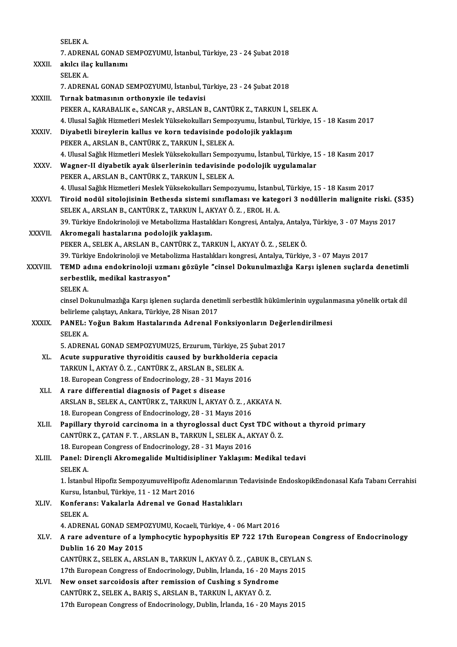SELEKA. SELEK A.<br>7. ADRENAL GONAD SEMPOZYUMU, İstanbul, Türkiye, 23 - 24 Şubat 2018<br>Skila ilaş kullanımı XXXII. akılcı ilaç kullanımı<br>SELEK A. 7. ADREN<br>akılcı ila<br>SELEK A. akılcı ilaç kullanımı<br>SELEK A.<br>7. ADRENAL GONAD SEMPOZYUMU, İstanbul, Türkiye, 23 - 24 Şubat 2018<br>Tırnak hatmasının arthanıyıcı ile tadayisi SELEK A.<br>7. ADRENAL GONAD SEMPOZYUMU, İstanbul, T<br>XXXIII. Tırnak batmasının orthonyxie ile tedavisi<br>PEKER A. KARARALIK Q. SANCAR V. ARSLAN E 7. ADRENAL GONAD SEMPOZYUMU, İstanbul, Türkiye, 23 - 24 Şubat 2018<br>Tırnak batmasının orthonyxie ile tedavisi<br>PEKER A., KARABALIK e., SANCAR y., ARSLAN B., CANTÜRK Z., TARKUN İ., SELEK A.<br>4. Ulucal Sağlık Hizmatlari Maslak 1 Tirnak batmasının orthonyxie ile tedavisi<br>PEKER A., KARABALIK e., SANCAR y., ARSLAN B., CANTÜRK Z., TARKUN İ., SELEK A.<br>4. Ulusal Sağlık Hizmetleri Meslek Yüksekokulları Sempozyumu, İstanbul, Türkiye, 15 - 18 Kasım 2017 PEKER A., KARABALIK e., SANCAR y., ARSLAN B., CANTÜRK Z., TARKUN İ., SF<br>4. Ulusal Sağlık Hizmetleri Meslek Yüksekokulları Sempozyumu, İstanbul, Tür<br>XXXIV. Diyabetli bireylerin kallus ve korn tedavisinde podolojik yaklaşım<br> Diyabetli bireylerin kallus ve korn tedavisinde podolojik yaklaşım<br>PEKER A., ARSLAN B., CANTÜRK Z., TARKUN İ., SELEK A. 4.UlusalSağlıkHizmetleriMeslekYüksekokularıSempozyumu, İstanbul,Türkiye,15 -18Kasım2017 XXXV. Wagner-II diyabetik ayak ülserlerinin tedavisinde podolojik uygulamalar PEKER A., ARSLAN B., CANTÜRK Z., TARKUN İ., SELEK A. Wagner-II diyabetik ayak ülserlerinin tedavisinde podolojik uygulamalar<br>PEKER A., ARSLAN B., CANTÜRK Z., TARKUN İ., SELEK A.<br>4. Ulusal Sağlık Hizmetleri Meslek Yüksekokulları Sempozyumu, İstanbul, Türkiye, 15 - 18 Kasım 20 PEKER A., ARSLAN B., CANTÜRK Z., TARKUN İ., SELEK A.<br>4. Ulusal Sağlık Hizmetleri Meslek Yüksekokulları Sempozyumu, İstanbul, Türkiye, 15 - 18 Kasım 2017<br>XXXVI. Tiroid nodül sitolojisinin Bethesda sistemi sınıflaması ve 4. Ulusal Sağlık Hizmetleri Meslek Yüksekokulları Sempozyumu, İstanbu<br>Tiroid nodül sitolojisinin Bethesda sistemi sınıflaması ve kateg<br>SELEK A., ARSLAN B., CANTÜRK Z., TARKUN İ., AKYAY Ö. Z. , EROL H. A.<br>20. Türkiye Endelm Tiroid nodül sitolojisinin Bethesda sistemi sınıflaması ve kategori 3 nodüllerin malignite riski. (<br>SELEK A., ARSLAN B., CANTÜRK Z., TARKUN İ., AKYAY Ö. Z. , EROL H. A.<br>39. Türkiye Endokrinoloji ve Metabolizma Hastalıkları SELEK A., ARSLAN B., CANTÜRK Z., TARKUN İ., AKYAY Ö. Z. , EROL H. A.<br>39. Türkiye Endokrinoloji ve Metabolizma Hastalıkları Kongresi, Antalya, Antalya<br>XXXVII. **Akromegali hastalarına podolojik yaklaşım.**<br>PEKER A., SELEK 39. Türkiye Endokrinoloji ve Metabolizma Hastalıkları Kongresi, Antalya, Antalya, Türkiye, 3 - 07 Mayıs 2017 Akromegali hastalarına podolojik yaklaşım.<br>PEKER A., SELEK A., ARSLAN B., CANTÜRK Z., TARKUN İ., AKYAY Ö. Z. , SELEK Ö.<br>39. Türkiye Endokrinoloji ve Metabolizma Hastalıkları kongresi, Antalya, Türkiye, 3 - 07 Mayıs 2017<br>TE PEKER A., SELEK A., ARSLAN B., CANTÜRK Z., TARKUN İ., AKYAY Ö. Z. , SELEK Ö.<br>39. Türkiye Endokrinoloji ve Metabolizma Hastalıkları kongresi, Antalya, Türkiye, 3 - 07 Mayıs 2017<br>2017 - TEMD adına endokrinoloji uzmanı gözüyl 39. Türkiye Endokrinoloji ve Metabo<br>TEMD adına endokrinoloji uzma<br>serbestlik, medikal kastrasyon"<br>SELEK A TEMD ac<br>serbestl:<br>SELEK A.<br>sinsel De serbestlik, medikal kastrasyon"<br>SELEK A.<br>cinsel Dokunulmazlığa Karşı işlenen suçlarda denetimli serbestlik hükümlerinin uygulanmasına yönelik ortak dil SELEK A.<br>cinsel Dokunulmazlığa Karşı işlenen suçlarda denet<br>belirleme çalıştayı, Ankara, Türkiye, 28 Nisan 2017<br>BANEL : Yoğun Bakım Hastalarında Adrapal E. cinsel Dokunulmazlığa Karşı işlenen suçlarda denetimli serbestlik hükümlerinin uygulanı<br>belirleme çalıştayı, Ankara, Türkiye, 28 Nisan 2017<br>XXXIX. PANEL: Yoğun Bakım Hastalarında Adrenal Fonksiyonların Değerlendirilmesi<br>SE belirleme çalıştayı, Ankara, Türkiye, 28 Nisan 2017<br>**PANEL: Yoğun Bakım Hastalarında Adrenal Fonksiyonların Değe**<br>SELEK A.<br>5. ADRENAL GONAD SEMPOZYUMU25, Erzurum, Türkiye, 25 Şubat 2017 PANEL: Yoğun Bakım Hastalarında Adrenal Fonksiyonların Değerlendirilmesi SELEK A.<br>5. ADRENAL GONAD SEMPOZYUMU25, Erzurum, Türkiye, 25 Şubat 201<br>XL. Acute suppurative thyroiditis caused by burkholderia cepacia<br>TARKIN İ. AKYAYÖ Z., CANTÜRK Z. ARSLAN B. SELEK A. 5. ADRENAL GONAD SEMPOZYUMU25, Erzurum, Türkiye, 2<br>Acute suppurative thyroiditis caused by burkholderi<br>TARKUN İ., AKYAY Ö. Z. , CANTÜRK Z., ARSLAN B., SELEK A.<br>18. Europeen Congress of Endogrinology, 28., 21 Mayıs 20. Acute suppurative thyroiditis caused by burkholderia of<br>TARKUN İ., AKYAY Ö. Z. , CANTÜRK Z., ARSLAN B., SELEK A.<br>18. European Congress of Endocrinology, 28 - 31 Mayıs 2016<br>A rana differential diagnesis of Bagat a diagase. TARKUN İ., AKYAY Ö. Z. , CANTÜRK Z., ARSLAN B., SELEK A.<br>18. European Congress of Endocrinology, 28 - 31 Mayıs 2016<br>XLI. A rare differential diagnosis of Paget s disease 18. European Congress of Endocrinology, 28 - 31 Mayıs 2016<br>A rare differential diagnosis of Paget s disease<br>ARSLAN B., SELEK A., CANTÜRK Z., TARKUN İ., AKYAY Ö. Z. , AKKAYA N.<br>18. European Cangress of Endosrinology, 28 - 2 A rare differential diagnosis of Paget s disease<br>ARSLAN B., SELEK A., CANTÜRK Z., TARKUN İ., AKYAY Ö. Z. , AF<br>18. European Congress of Endocrinology, 28 - 31 Mayıs 2016<br>Panillary thynoid canginoma in a thynogloggal dust Gy ARSLAN B., SELEK A., CANTÜRK Z., TARKUN İ., AKYAY Ö. Z. , AKKAYA N.<br>18. European Congress of Endocrinology, 28 - 31 Mayıs 2016<br>XLII. Papillary thyroid carcinoma in a thyroglossal duct Cyst TDC without a thyroid primary<br>CAN 18. European Congress of Endocrinology, 28 - 31 Mayıs 2016<br>Papillary thyroid carcinoma in a thyroglossal duct Cyst TDC wit<br>CANTÜRK Z., ÇATAN F. T., ARSLAN B., TARKUN İ., SELEK A., AKYAY Ö. Z.<br>18. European Congress of Endog Papillary thyroid carcinoma in a thyroglossal duct Cyst<br>CANTÜRK Z., ÇATAN F. T. , ARSLAN B., TARKUN İ., SELEK A., AF<br>18. European Congress of Endocrinology, 28 - 31 Mayıs 2016<br>Panel: Direncli Akromogalide Multidisinliner V CANTÜRK Z., ÇATAN F. T. , ARSLAN B., TARKUN İ., SELEK A., AKYAY Ö. Z.<br>18. European Congress of Endocrinology, 28 - 31 Mayıs 2016<br>XLIII. Panel: Dirençli Akromegalide Multidisipliner Yaklaşım: Medikal tedavi<br>SELEK A 18. Europ<br>**Panel: D**<br>SELEK A. Panel: Dirençli Akromegalide Multidisipliner Yaklaşım: Medikal tedavi<br>SELEK A.<br>1. İstanbul Hipofiz SempozyumuveHipofiz Adenomlarının Tedavisinde EndoskopikEndonasal Kafa Tabanı Cerrahisi<br>Kursu İstanbul Türkiye 11, 12 Mert SELEK A.<br>1. İstanbul Hipofiz SempozyumuveHipofiz A<br>Kursu, İstanbul, Türkiye, 11 - 12 Mart 2016<br>Konforansı Vakalarla Adropal ve Conse 1. İstanbul Hipofiz SempozyumuveHipofiz Adenomlarının T<br>Kursu, İstanbul, Türkiye, 11 - 12 Mart 2016<br>XLIV. Konferans: Vakalarla Adrenal ve Gonad Hastalıkları<br>SELEKA Kursu, İstanbul, Türkiye, 11 - 12 Mart 2016<br>Konferans: Vakalarla Adrenal ve Gonad Hastalıkları<br>SELEK A. Konferans: Vakalarla Adrenal ve Gonad Hastalıkları<br>SELEK A.<br>4. ADRENAL GONAD SEMPOZYUMU, Kocaeli, Türkiye, 4 - 06 Mart 2016<br>A rare adventure of a lumnhoqutiq bunonbuqitiq EB 722 17th E: XLV. A rare adventure of a lymphocytic hypophysitis EP 722 17th European Congress of Endocrinology 4. ADRENAL GONAD SEMP<br>A rare adventure of a ly<br>Dublin 16 20 May 2015<br>CANTUREZ, SELEFA ARS CANTÜRK Z., SELEK A., ARSLAN B., TARKUN İ., AKYAY Ö. Z., ÇABUK B., CEYLAN S. Dublin 16 20 May 2015<br>CANTÜRK Z., SELEK A., ARSLAN B., TARKUN İ., AKYAY Ö. Z. , ÇABUK B., CEYLAN :<br>17th European Congress of Endocrinology, Dublin, İrlanda, 16 - 20 Mayıs 2015<br>Navy anest sansaidasis after remission of Cush CANTÜRK Z., SELEK A., ARSLAN B., TARKUN İ., AKYAY Ö. Z., ÇABUK B., 17th European Congress of Endocrinology, Dublin, İrlanda, 16 - 20 May<br>XLVI. New onset sarcoidosis after remission of Cushing s Syndrome<br>CANTÜRK Z. SELEK A. 17th European Congress of Endocrinology, Dublin, İrlanda, 16 - 20 N<br>New onset sarcoidosis after remission of Cushing s Syndron<br>CANTÜRK Z., SELEK A., BARIŞ S., ARSLAN B., TARKUN İ., AKYAY Ö. Z.<br>17th European Congress of End New onset sarcoidosis after remission of Cushing s Syndrome<br>CANTÜRK Z., SELEK A., BARIŞ S., ARSLAN B., TARKUN İ., AKYAY Ö. Z.<br>17th European Congress of Endocrinology, Dublin, İrlanda, 16 - 20 Mayıs 2015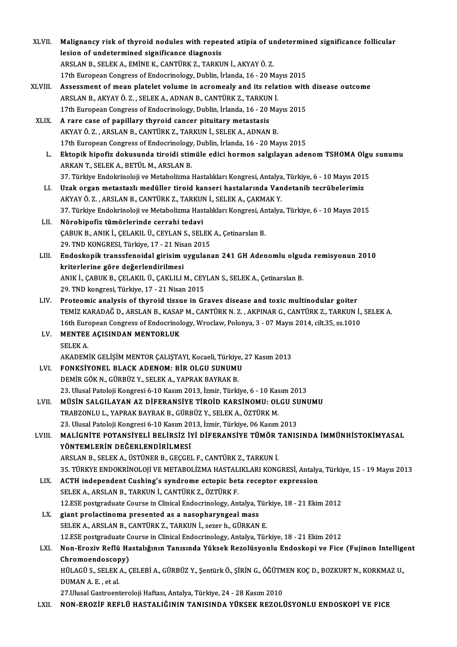| XLVII.  | Malignancy risk of thyroid nodules with repeated atipia of undetermined significance follicular          |
|---------|----------------------------------------------------------------------------------------------------------|
|         | lesion of undetermined significance diagnosis                                                            |
|         | ARSLAN B., SELEK A., EMİNE K., CANTÜRK Z., TARKUN İ., AKYAY Ö. Z.                                        |
|         | 17th European Congress of Endocrinology, Dublin, İrlanda, 16 - 20 Mayıs 2015                             |
| XLVIII. | Assessment of mean platelet volume in acromealy and its relation with disease outcome                    |
|         | ARSLAN B., AKYAY Ö. Z., SELEK A., ADNAN B., CANTÜRK Z., TARKUN İ.                                        |
|         | 17th European Congress of Endocrinology, Dublin, İrlanda, 16 - 20 Mayıs 2015                             |
| XLIX.   | A rare case of papillary thyroid cancer pituitary metastasis                                             |
|         | AKYAY Ö. Z., ARSLAN B., CANTÜRK Z., TARKUN İ., SELEK A., ADNAN B.                                        |
|         | 17th European Congress of Endocrinology, Dublin, İrlanda, 16 - 20 Mayıs 2015                             |
| L.      | Ektopik hipofiz dokusunda tiroidi stimüle edici hormon salgılayan adenom TSHOMA Olgu sunumu              |
|         | ARKAN T., SELEK A., BETÜL M., ARSLAN B.                                                                  |
|         | 37. Türkiye Endokrinoloji ve Metabolizma Hastalıkları Kongresi, Antalya, Türkiye, 6 - 10 Mayıs 2015      |
| $LI$ .  | Uzak organ metastazlı medüller tiroid kanseri hastalarında Vandetanib tecrübelerimiz                     |
|         | AKYAY Ö. Z., ARSLAN B., CANTÜRK Z., TARKUN İ., SELEK A., ÇAKMAK Y.                                       |
|         | 37. Türkiye Endokrinoloji ve Metabolizma Hastalıkları Kongresi, Antalya, Türkiye, 6 - 10 Mayıs 2015      |
| LII.    | Nörohipofiz tümörlerinde cerrahi tedavi                                                                  |
|         | ÇABUK B., ANIK İ., ÇELAKIL Ü., CEYLAN S., SELEK A., Çetinarslan B.                                       |
|         | 29. TND KONGRESI, Türkiye, 17 - 21 Nisan 2015                                                            |
| LIII.   | Endoskopik transsfenoidal girisim uygulanan 241 GH Adenomlu olguda remisyonun 2010                       |
|         | kriterlerine göre değerlendirilmesi                                                                      |
|         | ANIK İ., ÇABUK B., ÇELAKIL Ü., ÇAKLILI M., CEYLAN S., SELEK A., Çetinarslan B.                           |
|         | 29. TND kongresi, Türkiye, 17 - 21 Nisan 2015                                                            |
| LIV.    | Proteomic analysis of thyroid tissue in Graves disease and toxic multinodular goiter                     |
|         | TEMİZ KARADAĞ D., ARSLAN B., KASAP M., CANTÜRK N. Z., AKPINAR G., CANTÜRK Z., TARKUN İ., SELEK A.        |
|         | 16th European Congress of Endocrinology, Wroclaw, Polonya, 3 - 07 Mayıs 2014, cilt.35, ss.1010           |
| LV.     | MENTEE AÇISINDAN MENTORLUK                                                                               |
|         | <b>SELEKA</b>                                                                                            |
|         | AKADEMİK GELİŞİM MENTOR ÇALIŞTAYI, Kocaeli, Türkiye, 27 Kasım 2013                                       |
| LVI.    | FONKSIYONEL BLACK ADENOM: BİR OLGU SUNUMU                                                                |
|         | DEMİR GÖK N., GÜRBÜZ Y., SELEK A., YAPRAK BAYRAK B.                                                      |
|         | 23. Ulusal Patoloji Kongresi 6-10 Kasım 2013, İzmir, Türkiye, 6 - 10 Kasım 2013                          |
| LVII.   | MÜSIN SALGILAYAN AZ DIFERANSIYE TIROID KARSINOMU; OLGU SUNUMU                                            |
|         | TRABZONLU L., YAPRAK BAYRAK B., GÜRBÜZ Y., SELEK A., ÖZTÜRK M.                                           |
|         | 23. Ulusal Patoloji Kongresi 6-10 Kasım 2013, İzmir, Türkiye, 06 Kasım 2013                              |
| LVIII.  | MALIGNITE POTANSIYELI BELIRSIZ IYI DIFERANSIYE TÜMÖR TANISINDA İMMÜNHISTOKIMYASAL                        |
|         | YÖNTEMLERİN DEĞERLENDİRİLMESİ                                                                            |
|         | ARSLAN B., SELEK A., ÜSTÜNER B., GEÇGEL F., CANTÜRK Z., TARKUN İ.                                        |
|         | 35. TÜRKYE ENDOKRİNOLOJİ VE METABOLİZMA HASTALIKLARI KONGRESİ, Antalya, Türkiye, 15 - 19 Mayıs 2013      |
| LIX.    | ACTH independent Cushing's syndrome ectopic beta receptor expression                                     |
|         | SELEK A., ARSLAN B., TARKUN İ., CANTÜRK Z., ÖZTÜRK F.                                                    |
|         | 12.ESE postgraduate Course in Clinical Endocrinology, Antalya, Türkiye, 18 - 21 Ekim 2012                |
| LX.     | giant prolactinoma presented as a nasopharyngeal mass                                                    |
|         | SELEK A., ARSLAN B., CANTÜRK Z., TARKUN İ., sezer h., GÜRKAN E.                                          |
|         | 12.ESE postgraduate Course in Clinical Endocrinology, Antalya, Türkiye, 18 - 21 Ekim 2012                |
| LXI.    | Non-Eroziv Reflü Hastalığının Tanısında Yüksek Rezolüsyonlu Endoskopi ve Fice (Fujinon Intelligent       |
|         | Chromoendoscopy)                                                                                         |
|         | HÜLAGÜ S., SELEK A., ÇELEBİ A., GÜRBÜZ Y., Şentürk Ö., ŞİRİN G., ÖĞÜTMEN KOÇ D., BOZKURT N., KORKMAZ U., |
|         | DUMAN A.E., et al.                                                                                       |
|         | 27. Ulusal Gastroenteroloji Haftası, Antalya, Türkiye, 24 - 28 Kasım 2010                                |
| LXII.   | NON-EROZİF REFLÜ HASTALIĞININ TANISINDA YÜKSEK REZOLÜSYONLU ENDOSKOPİ VE FICE                            |
|         |                                                                                                          |